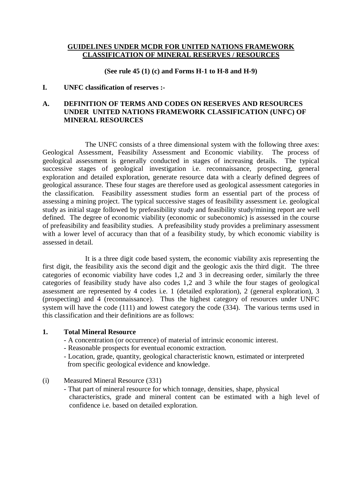## **GUIDELINES UNDER MCDR FOR UNITED NATIONS FRAMEWORK CLASSIFICATION OF MINERAL RESERVES / RESOURCES**

**(See rule 45 (1) (c) and Forms H-1 to H-8 and H-9)**

## **I. UNFC classification of reserves :-**

# **A. DEFINITION OF TERMS AND CODES ON RESERVES AND RESOURCES UNDER UNITED NATIONS FRAMEWORK CLASSIFICATION (UNFC) OF MINERAL RESOURCES**

The UNFC consists of a three dimensional system with the following three axes: Geological Assessment, Feasibility Assessment and Economic viability. The process of geological assessment is generally conducted in stages of increasing details. The typical successive stages of geological investigation i.e. reconnaissance, prospecting, general exploration and detailed exploration, generate resource data with a clearly defined degrees of geological assurance. These four stages are therefore used as geological assessment categories in the classification. Feasibility assessment studies form an essential part of the process of assessing a mining project. The typical successive stages of feasibility assessment i.e. geological study as initial stage followed by prefeasibility study and feasibility study/mining report are well defined. The degree of economic viability (economic or subeconomic) is assessed in the course of prefeasibility and feasibility studies. A prefeasibility study provides a preliminary assessment with a lower level of accuracy than that of a feasibility study, by which economic viability is assessed in detail.

It is a three digit code based system, the economic viability axis representing the first digit, the feasibility axis the second digit and the geologic axis the third digit. The three categories of economic viability have codes 1,2 and 3 in decreasing order, similarly the three categories of feasibility study have also codes 1,2 and 3 while the four stages of geological assessment are represented by 4 codes i.e. 1 (detailed exploration), 2 (general exploration), 3 (prospecting) and 4 (reconnaissance). Thus the highest category of resources under UNFC system will have the code (111) and lowest category the code (334). The various terms used in this classification and their definitions are as follows:

## **1. Total Mineral Resource**

- A concentration (or occurrence) of material of intrinsic economic interest.
- Reasonable prospects for eventual economic extraction.
- Location, grade, quantity, geological characteristic known, estimated or interpreted from specific geological evidence and knowledge.
- (i) Measured Mineral Resource (331)
	- That part of mineral resource for which tonnage, densities, shape, physical characteristics, grade and mineral content can be estimated with a high level of confidence i.e. based on detailed exploration.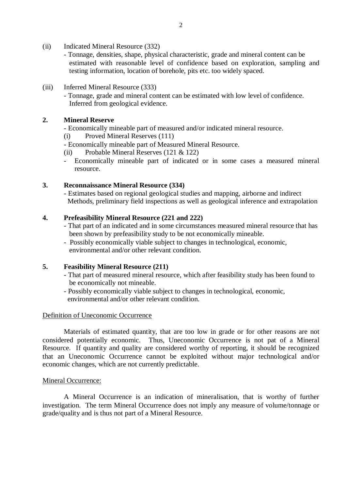- (ii) Indicated Mineral Resource (332)
	- Tonnage, densities, shape, physical characteristic, grade and mineral content can be estimated with reasonable level of confidence based on exploration, sampling and testing information, location of borehole, pits etc. too widely spaced.
- (iii) Inferred Mineral Resource (333)
	- Tonnage, grade and mineral content can be estimated with low level of confidence. Inferred from geological evidence.

### **2. Mineral Reserve**

- Economically mineable part of measured and/or indicated mineral resource.
- (i) Proved Mineral Reserves (111)
- Economically mineable part of Measured Mineral Resource.
- (ii) Probable Mineral Reserves (121 & 122)
- Economically mineable part of indicated or in some cases a measured mineral resource.

### **3. Reconnaissance Mineral Resource (334)**

- Estimates based on regional geological studies and mapping, airborne and indirect Methods, preliminary field inspections as well as geological inference and extrapolation

## **4. Prefeasibility Mineral Resource (221 and 222)**

- That part of an indicated and in some circumstances measured mineral resource that has been shown by prefeasibility study to be not economically mineable.
- Possibly economically viable subject to changes in technological, economic, environmental and/or other relevant condition.

### **5. Feasibility Mineral Resource (211)**

- That part of measured mineral resource, which after feasibility study has been found to be economically not mineable.
- Possibly economically viable subject to changes in technological, economic, environmental and/or other relevant condition.

### Definition of Uneconomic Occurrence

Materials of estimated quantity, that are too low in grade or for other reasons are not considered potentially economic. Thus, Uneconomic Occurrence is not pat of a Mineral Resource. If quantity and quality are considered worthy of reporting, it should be recognized that an Uneconomic Occurrence cannot be exploited without major technological and/or economic changes, which are not currently predictable.

### Mineral Occurrence:

A Mineral Occurrence is an indication of mineralisation, that is worthy of further investigation. The term Mineral Occurrence does not imply any measure of volume/tonnage or grade/quality and is thus not part of a Mineral Resource.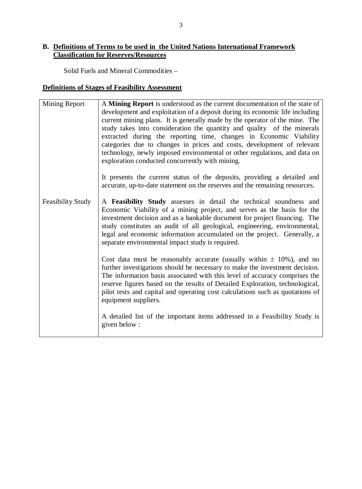# **B. Definitions of Terms to be used in the United Nations International Framework Classification for Reserves/Resources**

Solid Fuels and Mineral Commodities –

# **Definitions of Stages of Feasibility Assessment**

| <b>Mining Report</b>     | A Mining Report is understood as the current documentation of the state of<br>development and exploitation of a deposit during its economic life including<br>current mining plans. It is generally made by the operator of the mine. The<br>study takes into consideration the quantity and quality of the minerals<br>extracted during the reporting time, changes in Economic Viability<br>categories due to changes in prices and costs, development of relevant<br>technology, newly imposed environmental or other regulations, and data on<br>exploration conducted concurrently with mining.<br>It presents the current status of the deposits, providing a detailed and<br>accurate, up-to-date statement on the reserves and the remaining resources. |
|--------------------------|-----------------------------------------------------------------------------------------------------------------------------------------------------------------------------------------------------------------------------------------------------------------------------------------------------------------------------------------------------------------------------------------------------------------------------------------------------------------------------------------------------------------------------------------------------------------------------------------------------------------------------------------------------------------------------------------------------------------------------------------------------------------|
| <b>Feasibility Study</b> | A Feasibility Study assesses in detail the technical soundness and<br>Economic Viability of a mining project, and serves as the basis for the<br>investment decision and as a bankable document for project financing. The<br>study constitutes an audit of all geological, engineering, environmental,<br>legal and economic information accumulated on the project. Generally, a<br>separate environmental impact study is required.                                                                                                                                                                                                                                                                                                                          |
|                          | Cost data must be reasonably accurate (usually within $\pm$ 10%), and no<br>further investigations should be necessary to make the investment decision.<br>The information basis associated with this level of accuracy comprises the<br>reserve figures based on the results of Detailed Exploration, technological,<br>pilot tests and capital and operating cost calculations such as quotations of<br>equipment suppliers.                                                                                                                                                                                                                                                                                                                                  |
|                          | A detailed list of the important items addressed in a Feasibility Study is<br>given below:                                                                                                                                                                                                                                                                                                                                                                                                                                                                                                                                                                                                                                                                      |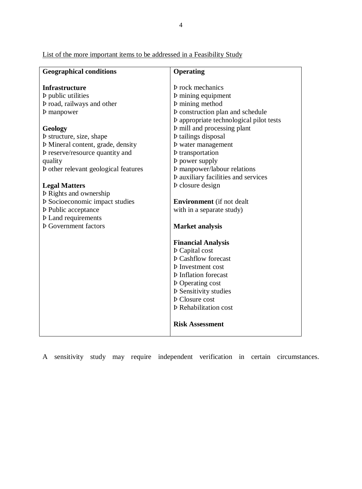List of the more important items to be addressed in a Feasibility Study

| <b>Geographical conditions</b>              | <b>Operating</b>                           |
|---------------------------------------------|--------------------------------------------|
|                                             |                                            |
| <b>Infrastructure</b>                       | <b>P</b> rock mechanics                    |
| <b>Þ</b> public utilities                   | <b>Þ</b> mining equipment                  |
| <b>P</b> road, railways and other           | <b>P</b> mining method                     |
| <b>b</b> manpower                           | <b>P</b> construction plan and schedule    |
|                                             | P appropriate technological pilot tests    |
| Geology                                     | <b>P</b> mill and processing plant         |
| <b>P</b> structure, size, shape             | <b>Þ</b> tailings disposal                 |
| <b>Þ</b> Mineral content, grade, density    | <b>b</b> water management                  |
| <b>Þ</b> reserve/resource quantity and      | <b>b</b> transportation                    |
| quality                                     | <b>b</b> power supply                      |
| <b>P</b> other relevant geological features | <b>Þ</b> manpower/labour relations         |
|                                             | <b>Þ</b> auxiliary facilities and services |
| <b>Legal Matters</b>                        | <b>Þ</b> closure design                    |
| <b>Þ</b> Rights and ownership               |                                            |
| <b>Þ</b> Socioeconomic impact studies       | <b>Environment</b> (if not dealt)          |
| <b>Þ</b> Public acceptance                  | with in a separate study)                  |
| <b>Þ</b> Land requirements                  |                                            |
| <b>Þ</b> Government factors                 | <b>Market analysis</b>                     |
|                                             |                                            |
|                                             | <b>Financial Analysis</b>                  |
|                                             | <b>Þ</b> Capital cost                      |
|                                             | <b>Þ</b> Cashflow forecast                 |
|                                             | <b>Þ</b> Investment cost                   |
|                                             | <b>Þ</b> Inflation forecast                |
|                                             | <b>Þ</b> Operating cost                    |
|                                             | <b>P</b> Sensitivity studies               |
|                                             | <b>Þ</b> Closure cost                      |
|                                             | <b>Þ</b> Rehabilitation cost               |
|                                             | <b>Risk Assessment</b>                     |

A sensitivity study may require independent verification in certain circumstances.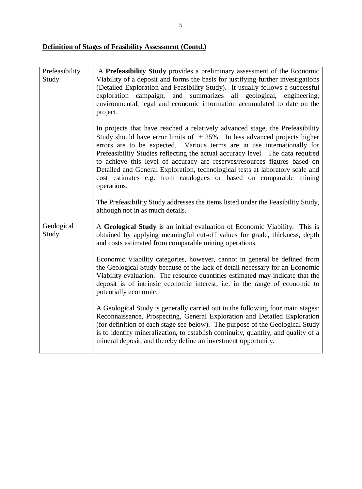# **Definition of Stages of Feasibility Assessment (Contd.)**

| Prefeasibility | A Prefeasibility Study provides a preliminary assessment of the Economic                                                                           |
|----------------|----------------------------------------------------------------------------------------------------------------------------------------------------|
| Study          | Viability of a deposit and forms the basis for justifying further investigations                                                                   |
|                | (Detailed Exploration and Feasibility Study). It usually follows a successful                                                                      |
|                | exploration campaign, and summarizes all geological, engineering,                                                                                  |
|                | environmental, legal and economic information accumulated to date on the                                                                           |
|                | project.                                                                                                                                           |
|                | In projects that have reached a relatively advanced stage, the Prefeasibility                                                                      |
|                | Study should have error limits of $\pm 25\%$ . In less advanced projects higher                                                                    |
|                | errors are to be expected. Various terms are in use internationally for                                                                            |
|                | Prefeasibility Studies reflecting the actual accuracy level. The data required                                                                     |
|                | to achieve this level of accuracy are reserves/resources figures based on                                                                          |
|                | Detailed and General Exploration, technological tests at laboratory scale and<br>cost estimates e.g. from catalogues or based on comparable mining |
|                | operations.                                                                                                                                        |
|                |                                                                                                                                                    |
|                | The Prefeasibility Study addresses the items listed under the Feasibility Study,                                                                   |
|                | although not in as much details.                                                                                                                   |
| Geological     | A Geological Study is an initial evaluation of Economic Viability. This is                                                                         |
| Study          | obtained by applying meaningful cut-off values for grade, thickness, depth                                                                         |
|                | and costs estimated from comparable mining operations.                                                                                             |
|                | Economic Viability categories, however, cannot in general be defined from                                                                          |
|                | the Geological Study because of the lack of detail necessary for an Economic                                                                       |
|                | Viability evaluation. The resource quantities estimated may indicate that the                                                                      |
|                | deposit is of intrinsic economic interest, i.e. in the range of economic to                                                                        |
|                | potentially economic.                                                                                                                              |
|                | A Geological Study is generally carried out in the following four main stages:                                                                     |
|                | Reconnaissance, Prospecting, General Exploration and Detailed Exploration                                                                          |
|                | (for definition of each stage see below). The purpose of the Geological Study                                                                      |
|                | is to identify mineralization, to establish continuity, quantity, and quality of a                                                                 |
|                | mineral deposit, and thereby define an investment opportunity.                                                                                     |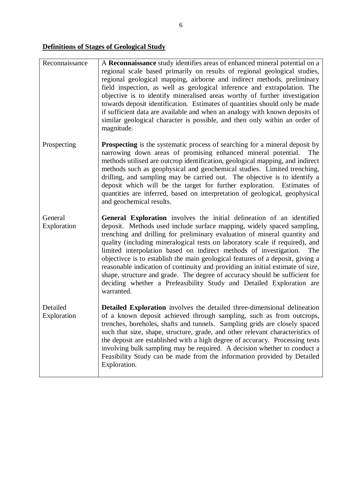# **Definitions of Stages of Geological Study**

| Reconnaissance          | A Reconnaissance study identifies areas of enhanced mineral potential on a<br>regional scale based primarily on results of regional geological studies,<br>regional geological mapping, airborne and indirect methods, preliminary<br>field inspection, as well as geological inference and extrapolation. The<br>objective is to identify mineralised areas worthy of further investigation<br>towards deposit identification. Estimates of quantities should only be made<br>if sufficient data are available and when an analogy with known deposits of<br>similar geological character is possible, and then only within an order of<br>magnitude.                                                                           |
|-------------------------|----------------------------------------------------------------------------------------------------------------------------------------------------------------------------------------------------------------------------------------------------------------------------------------------------------------------------------------------------------------------------------------------------------------------------------------------------------------------------------------------------------------------------------------------------------------------------------------------------------------------------------------------------------------------------------------------------------------------------------|
| Prospecting             | <b>Prospecting</b> is the systematic process of searching for a mineral deposit by<br>narrowing down areas of promising enhanced mineral potential.<br>The<br>methods utilised are outcrop identification, geological mapping, and indirect<br>methods such as geophysical and geochemical studies. Limited trenching,<br>drilling, and sampling may be carried out. The objective is to identify a<br>deposit which will be the target for further exploration. Estimates of<br>quantities are inferred, based on interpretation of geological, geophysical<br>and geochemical results.                                                                                                                                         |
| General<br>Exploration  | General Exploration involves the initial delineation of an identified<br>deposit. Methods used include surface mapping, widely spaced sampling,<br>trenching and drilling for preliminary evaluation of mineral quantity and<br>quality (including mineralogical tests on laboratory scale if required), and<br>limited interpolation based on indirect methods of investigation.<br>The<br>objective is to establish the main geological features of a deposit, giving a<br>reasonable indication of continuity and providing an initial estimate of size,<br>shape, structure and grade. The degree of accuracy should be sufficient for<br>deciding whether a Prefeasibility Study and Detailed Exploration are<br>warranted. |
| Detailed<br>Exploration | <b>Detailed Exploration</b> involves the detailed three-dimensional delineation<br>of a known deposit achieved through sampling, such as from outcrops,<br>trenches, boreholes, shafts and tunnels. Sampling grids are closely spaced<br>such that size, shape, structure, grade, and other relevant characteristics of<br>the deposit are established with a high degree of accuracy. Processing tests<br>involving bulk sampling may be required. A decision whether to conduct a<br>Feasibility Study can be made from the information provided by Detailed<br>Exploration.                                                                                                                                                   |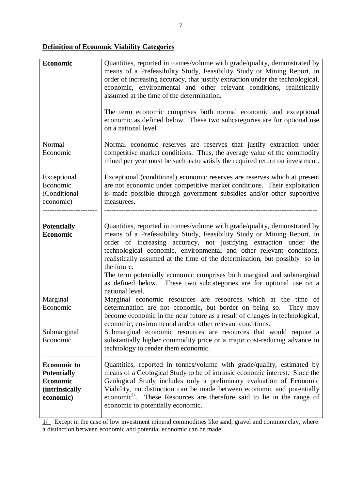# **Definition of Economic Viability Categories**

| Economic                                                                                           | Quantities, reported in tonnes/volume with grade/quality, demonstrated by<br>means of a Prefeasibility Study, Feasibility Study or Mining Report, in<br>order of increasing accuracy, that justify extraction under the technological,<br>economic, environmental and other relevant conditions, realistically<br>assumed at the time of the determination.<br>The term economic comprises both normal economic and exceptional<br>economic as defined below. These two subcategories are for optional use<br>on a national level.                                |
|----------------------------------------------------------------------------------------------------|-------------------------------------------------------------------------------------------------------------------------------------------------------------------------------------------------------------------------------------------------------------------------------------------------------------------------------------------------------------------------------------------------------------------------------------------------------------------------------------------------------------------------------------------------------------------|
| Normal<br>Economic                                                                                 | Normal economic reserves are reserves that justify extraction under<br>competitive market conditions. Thus, the average value of the commodity<br>mined per year must be such as to satisfy the required return on investment.                                                                                                                                                                                                                                                                                                                                    |
| Exceptional<br>Economic<br>(Conditional<br>economic)                                               | Exceptional (conditional) economic reserves are reserves which at present<br>are not economic under competitive market conditions. Their exploitation<br>is made possible through government subsidies and/or other supportive<br>measurees.                                                                                                                                                                                                                                                                                                                      |
| <b>Potentially</b><br><b>Economic</b>                                                              | Quantities, reported in tonnes/volume with grade/quality, demonstrated by<br>means of a Prefeasibility Study, Feasibility Study or Mining Report, in<br>order of increasing accuracy, not justifying extraction under the<br>technological economic, environmental and other relevant conditions,<br>realistically assumed at the time of the determination, but possibly so in<br>the future.<br>The term potentially economic comprises both marginal and submarginal<br>as defined below. These two subcategories are for optional use on a<br>national level. |
| Marginal<br>Economic<br>Submarginal<br>Economic                                                    | Marginal economic resources are resources which at the time of<br>determination are not economic, but border on being so. They may<br>become economic in the near future as a result of changes in technological,<br>economic, environmental and/or other relevant conditions.<br>Submarginal economic resources are resources that would require a<br>substantially higher commodity price or a major cost-reducing advance in<br>technology to render them economic.                                                                                            |
| <b>Economic to</b><br><b>Potentially</b><br><b>Economic</b><br><i>(intrinsically)</i><br>economic) | Quantities, reported in tonnes/volume with grade/quality, estimated by<br>means of a Geological Study to be of intrinsic economic interest. Since the<br>Geological Study includes only a preliminary evaluation of Economic<br>Viability, no distinction can be made between economic and potentially<br>economic <sup>1/</sup> . These Resources are therefore said to lie in the range of<br>economic to potentially economic.                                                                                                                                 |

 $1/$  Except in the case of low investment mineral commodities like sand, gravel and common clay, where a distinction between economic and potential economic can be made.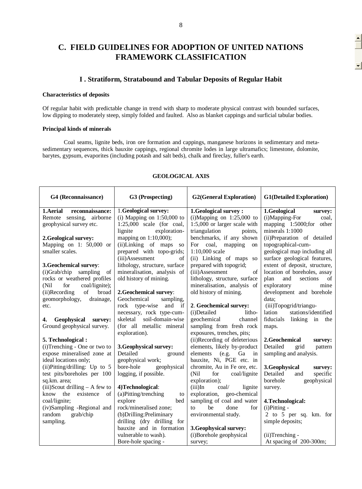# **C. FIELD GUIDELINES FOR ADOPTION OF UNITED NATIONS FRAMEWORK CLASSIFICATION**

### **I . Stratiform, Stratabound and Tabular Deposits of Regular Habit**

### **Characteristics of deposits**

Of regular habit with predictable change in trend with sharp to moderate physical contrast with bounded surfaces, low dipping to moderately steep, simply folded and faulted. Also as blanket cappings and surficial tabular bodies.

#### **Principal kinds of minerals**

Coal seams, lignite beds, iron ore formation and cappings, manganese horizons in sedimentary and metasedimentary sequences, thick bauxite cappings, regional chromite lodes in large ultramafics; limestone, dolomite, barytes, gypsum, evaporites (including potash and salt beds), chalk and fireclay, fuller's earth.

| G4 (Reconnaissance)               | G3 (Prospecting)                 | <b>G2(General Exploration)</b>          | <b>G1(Detailed Exploration)</b> |
|-----------------------------------|----------------------------------|-----------------------------------------|---------------------------------|
| 1. Aerial<br>reconnaissance:      | 1. Geological survey:            | 1. Geological survey:                   | 1.Geological<br>survey:         |
| Remote sensing,<br>airborne       | (i) Mapping on $1:50,000$ to     | $(i)$ Mapping on 1:25,000 to            | (i)Mapping-For<br>coal,         |
| geophysical survey etc.           | $1:25,000$ scale (for coal,      | 1:5,000 or larger scale with            | mapping 1:5000;for other        |
|                                   | lignite<br>exploration-          | triangulation<br>points,                | minerals 1:1000                 |
| 2. Geological survey:             | mapping on 1:10,000);            | benchmarks, if any shown                | (ii)Preparation of detailed     |
| Mapping on 1: $50,000$ or         | (ii)Linking of maps<br><b>SO</b> | For coal, mapping<br><sub>on</sub>      | topographical-cum-              |
| smaller scales.                   | prepared with topo-grids;        | 1:10,000 scale                          | geological map including all    |
|                                   | (iii)Assessment<br>of            | (ii) Linking of maps so                 | surface geological features,    |
| 3. Geochemical survey:            | lithology, structure, surface    | prepared with topogrid;                 | extent of deposit, structure,   |
| $(i)$ Grab/chip<br>sampling<br>of | mineralisation, analysis of      | (iii)Assessment<br>of                   | location of boreholes, assay    |
| rocks or weathered profiles       | old history of mining.           | lithology, structure, surface           | sections<br>plan<br>and<br>of   |
| (Nil<br>for<br>coal/lignite);     |                                  | mineralisation, analysis of             | exploratory<br>mine             |
| of<br>(ii)Recording<br>broad      | 2. Geochemical survey:           | old history of mining.                  | development and borehole        |
| geomorphology,<br>drainage,       | Geochemical<br>sampling,         |                                         | data:                           |
| etc.                              | rock type-wise and<br>if         | 2. Geochemical survey:                  | (iii)Topogrid/triangu-          |
|                                   | necessary, rock type-cum-        | (i)Detailed<br>litho-                   | lation<br>stations/identified   |
| Geophysical survey:<br>4.         | skeletal soil-domain-wise        | geochemical<br>channel                  | fiducials linking in the        |
| Ground geophysical survey.        | (for all metallic mineral        | sampling from fresh rock                | maps.                           |
|                                   | exploration).                    | exposures, trenches, pits;              |                                 |
| 5. Technological:                 |                                  | (ii)Recording of deleterious            | 2.Geochemical<br>survey:        |
| (i)Trenching - One or two to      | 3. Geophysical survey:           | elements, likely by-product             | Detailed<br>grid<br>pattern     |
| expose mineralised zone at        | Detailed<br>ground               | elements (e.g.<br>Ga<br>$\sin$          | sampling and analysis.          |
| ideal locations only;             | geophysical work;                | bauxite, Ni, PGE etc. in                |                                 |
| (ii)Pitting/drilling: Up to 5     | bore-hole<br>geophysical         | chromite, Au in Fe ore, etc.            | 3.Geophysical<br>survey:        |
| test pits/boreholes per 100       | logging, if possible.            | (Nil)<br>coal/lignite<br>for            | Detailed<br>specific<br>and     |
| sq.km. area;                      |                                  | exploration);                           | borehole<br>geophysical         |
| $(iii)$ Scout drilling – A few to | 4) Technological:                | $(iii)$ In<br>$\text{coal}/$<br>lignite | survey.                         |
| know the existence<br>$\sigma$ f  | $(a)$ Pitting/trenching<br>to    | exploration, geo-chemical               |                                 |
| coal/lignite;                     | explore<br>bed                   | sampling of coal and water              | 4. Technological:               |
| (iv)Sampling -Regional and        | rock/mineralised zone;           | be<br>done<br>for<br>$f_{\Omega}$       | (i)Pitting -                    |
| grab/chip<br>random               | (b) Drilling: Preliminary        | environmental study.                    | 2 to 5 per sq. km. for          |
| sampling.                         | drilling (dry drilling for       |                                         | simple deposits;                |
|                                   | bauxite and in formation         | 3. Geophysical survey:                  |                                 |
|                                   | vulnerable to wash).             | (i)Borehole geophysical                 | $(ii)$ Trenching -              |
|                                   | Bore-hole spacing -              | survey;                                 | At spacing of 200-300m;         |

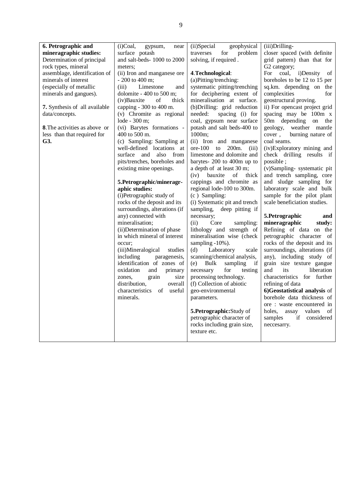| 6. Petrographic and                  | $(i)$ Coal,<br>gypsum,<br>near | geophysical<br>(ii)Special    | (iii)Drilling-                  |
|--------------------------------------|--------------------------------|-------------------------------|---------------------------------|
| mineragraphic studies:               | surface potash                 | traverses<br>for<br>problem   | closer spaced (with definite    |
| Determination of principal           | and salt-beds-1000 to 2000     | solving, if required.         | grid pattern) than that for     |
| rock types, mineral                  | meters:                        |                               | G2 category;                    |
| assemblage, identification of        | (ii) Iron and manganese ore    | 4. Technological:             | For<br>coal, i)Density<br>of    |
| minerals of interest                 | - 200 to 400 m;                | (a)Pitting/trenching:         | boreholes to be 12 to 15 per    |
| (especially of metallic              | (iii)<br>Limestone<br>and      | systematic pitting/trenching  | sq.km. depending on the         |
| minerals and gangues).               | dolomite - $400$ to $500$ m;   | for deciphering extent of     | complexities<br>for             |
|                                      | (iv)Bauxite<br>of<br>thick     | mineralisation at surface.    | geostructural proving.          |
| 7. Synthesis of all available        | capping - 300 to 400 m.        | (b) Drilling: grid reduction  | ii) For opencast project grid   |
| data/concepts.                       | (v) Chromite as regional       | needed:<br>spacing (i) for    | spacing may be 100m x           |
|                                      | lode - 300 m;                  | coal, gypsum near surface     | 50m depending on<br>the         |
| <b>8.</b> The activities as above or | (vi) Barytes formations -      | potash and salt beds-400 to   | geology, weather mantle         |
| less than that required for          | 400 to 500 m.                  | 1000m;                        | cover,<br>burning nature of     |
| G3.                                  | (c) Sampling: Sampling at      | (ii) Iron and manganese       | coal seams.                     |
|                                      | well-defined locations at      | ore-100 to 200m.<br>(iii)     | (iv)Exploratory mining and      |
|                                      | surface and<br>also from       | limestone and dolomite and    | check drilling results if       |
|                                      | pits/trenches, boreholes and   | barytes- 200 to 400m up to    | possible;                       |
|                                      | existing mine openings.        | a depth of at least 30 m;     | (v)Sampling- systematic pit     |
|                                      |                                | (iv) bauxite<br>of<br>thick   | and trench sampling, core       |
|                                      | 5. Petrographic/mineragr-      | cappings and chromite as      | and sludge sampling for         |
|                                      | aphic studies:                 | regional lode-100 to 300m.    | laboratory scale and bulk       |
|                                      | (i)Petrographic study of       | (c) Sampling:                 | sample for the pilot plant      |
|                                      | rocks of the deposit and its   | (i) Systematic pit and trench | scale beneficiation studies.    |
|                                      | surroundings, alterations (if  | sampling, deep pitting if     |                                 |
|                                      | any) connected with            | necessary;                    | 5. Petrographic<br>and          |
|                                      | mineralisation;                | (ii)<br>Core<br>sampling:     | mineragraphic<br>study:         |
|                                      | (ii) Determination of phase    | lithology and strength of     | Refining of data on the         |
|                                      | in which mineral of interest   | mineralisation wise (check    | petrographic character of       |
|                                      | occur:                         | sampling -10%).               | rocks of the deposit and its    |
|                                      | (iii)Mineralogical<br>studies  | Laboratory<br>(d)<br>scale    | surroundings, alterations (if   |
|                                      | including<br>paragenesis,      | scanning/chemical analysis,   | any), including study of        |
|                                      | identification of zones of     | Bulk<br>sampling<br>if<br>(e) | grain size texture gangue       |
|                                      | oxidation<br>and<br>primary    | for<br>necessary<br>testing   | its<br>liberation<br>and        |
|                                      | size<br>zones,<br>grain        | processing technology.        | characteristics for further     |
|                                      | distribution,<br>overall       | (f) Collection of abiotic     | refining of data                |
|                                      | characteristics of useful      | geo-environmental             | 6)Geostatistical analysis of    |
|                                      | minerals.                      | parameters.                   | borehole data thickness of      |
|                                      |                                |                               | ore : waste encountered in      |
|                                      |                                | 5. Petrographic: Study of     | holes,<br>values<br>assay<br>of |
|                                      |                                | petrographic character of     | samples<br>if considered        |
|                                      |                                | rocks including grain size,   | neccesarry.                     |
|                                      |                                |                               |                                 |
|                                      |                                | texture etc.                  |                                 |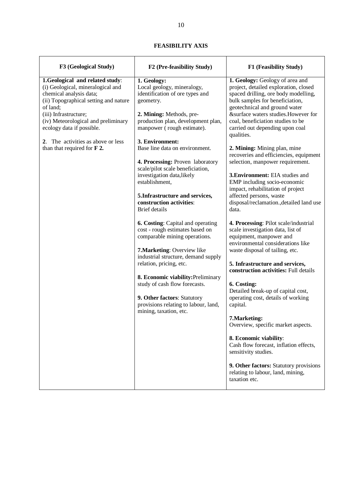| F3 (Geological Study)                                                                                                                                                                                                                             | F2 (Pre-feasibility Study)                                                                                                                                                                                                                                                                                                                                                     | F1 (Feasibility Study)                                                                                                                                                                                                                                                                                                                                                                                                                                                                                              |
|---------------------------------------------------------------------------------------------------------------------------------------------------------------------------------------------------------------------------------------------------|--------------------------------------------------------------------------------------------------------------------------------------------------------------------------------------------------------------------------------------------------------------------------------------------------------------------------------------------------------------------------------|---------------------------------------------------------------------------------------------------------------------------------------------------------------------------------------------------------------------------------------------------------------------------------------------------------------------------------------------------------------------------------------------------------------------------------------------------------------------------------------------------------------------|
| 1.Geological and related study:<br>(i) Geological, mineralogical and<br>chemical analysis data;<br>(ii) Topographical setting and nature<br>of land;<br>(iii) Infrastructure;<br>(iv) Meteorological and preliminary<br>ecology data if possible. | 1. Geology:<br>Local geology, mineralogy,<br>identification of ore types and<br>geometry.<br>2. Mining: Methods, pre-<br>production plan, development plan,<br>manpower (rough estimate).                                                                                                                                                                                      | 1. Geology: Geology of area and<br>project, detailed exploration, closed<br>spaced drilling, ore body modelling,<br>bulk samples for beneficiation,<br>geotechnical and ground water<br>&surface waters studies. However for<br>coal, beneficiation studies to be<br>carried out depending upon coal<br>qualities.                                                                                                                                                                                                  |
| 2. The activities as above or less<br>than that required for $F$ 2.                                                                                                                                                                               | 3. Environment:<br>Base line data on environment.<br>4. Processing: Proven laboratory<br>scale/pilot scale beneficiation,<br>investigation data, likely<br>establishment,<br>5. Infrastructure and services,<br>construction activities:<br><b>Brief</b> details                                                                                                               | 2. Mining: Mining plan, mine<br>recoveries and efficiencies, equipment<br>selection, manpower requirement.<br>3. Environment: EIA studies and<br>EMP including socio-economic<br>impact, rehabilitation of project<br>affected persons, waste<br>disposal/reclamation., detailed land use<br>data.                                                                                                                                                                                                                  |
|                                                                                                                                                                                                                                                   | 6. Costing: Capital and operating<br>cost - rough estimates based on<br>comparable mining operations.<br>7. Marketing: Overview like<br>industrial structure, demand supply<br>relation, pricing, etc.<br>8. Economic viability: Preliminary<br>study of cash flow forecasts.<br>9. Other factors: Statutory<br>provisions relating to labour, land,<br>mining, taxation, etc. | 4. Processing: Pilot scale/industrial<br>scale investigation data, list of<br>equipment, manpower and<br>environmental considerations like<br>waste disposal of tailing, etc.<br>5. Infrastructure and services,<br>construction activities: Full details<br>6. Costing:<br>Detailed break-up of capital cost,<br>operating cost, details of working<br>capital.<br>7. Marketing:<br>Overview, specific market aspects.<br>8. Economic viability:<br>Cash flow forecast, inflation effects,<br>sensitivity studies. |
|                                                                                                                                                                                                                                                   |                                                                                                                                                                                                                                                                                                                                                                                | 9. Other factors: Statutory provisions<br>relating to labour, land, mining,<br>taxation etc.                                                                                                                                                                                                                                                                                                                                                                                                                        |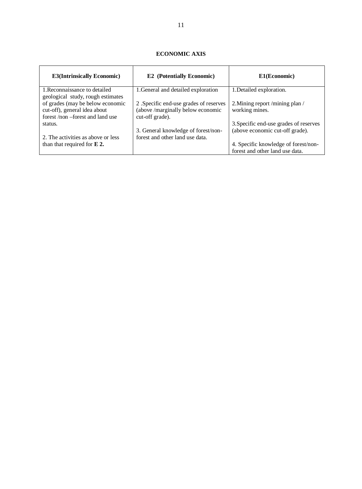| <b>E3(Intrinsically Economic)</b>                                                                    | <b>E2</b> (Potentially Economic)                                                               | E1(Economic)                                                              |
|------------------------------------------------------------------------------------------------------|------------------------------------------------------------------------------------------------|---------------------------------------------------------------------------|
| 1. Reconnaissance to detailed<br>geological study, rough estimates                                   | 1. General and detailed exploration                                                            | 1. Detailed exploration.                                                  |
| of grades (may be below economic<br>cut-off), general idea about<br>forest /non -forest and land use | 2. Specific end-use grades of reserves<br>(above /marginally below economic<br>cut-off grade). | 2. Mining report /mining plan /<br>working mines.                         |
| status.                                                                                              | 3. General knowledge of forest/non-                                                            | 3. Specific end-use grades of reserves<br>(above economic cut-off grade). |
| 2. The activities as above or less                                                                   | forest and other land use data.                                                                |                                                                           |
| than that required for $E$ 2.                                                                        |                                                                                                | 4. Specific knowledge of forest/non-                                      |
|                                                                                                      |                                                                                                | forest and other land use data.                                           |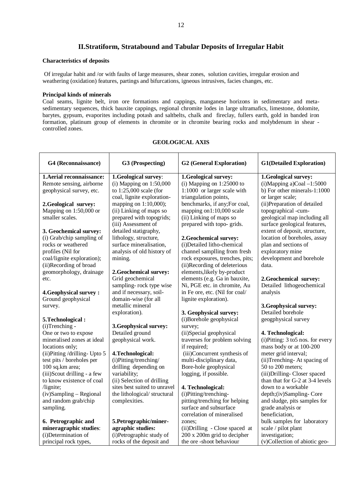## **II.Stratiform, Stratabound and Tabular Deposits of Irregular Habit**

### **Characteristics of deposits**

 Of irregular habit and /or with faults of large measures, shear zones, solution cavities, irregular erosion and weathering (oxidation) features, partings and bifurcations, igneous intrusives, facies changes, etc.

### **Principal kinds of minerals**

Coal seams, lignite belt, iron ore formations and cappings, manganese horizons in sedimentary and metasedimentary sequences, thick bauxite cappings, regional chromite lodes in large ultramafics, limestone, dolomite, barytes, gypsum, evaporites including potash and saltbelts, chalk and fireclay, fullers earth, gold in banded iron formation, platinum group of elements in chromite or in chromite bearing rocks and molybdenum in shear controlled zones.

| G4 (Reconnaissance)           | G3 (Prospecting)             | <b>G2</b> (General Exploration)                         | <b>G1(Detailed Exploration)</b>     |
|-------------------------------|------------------------------|---------------------------------------------------------|-------------------------------------|
| 1. Aerial reconnaissance:     | 1.Geological survey:         | 1.Geological survey:                                    | 1.Geological survey:                |
| Remote sensing, airborne      | (i) Mapping on $1:50,000$    | (i) Mapping on $1:25000$ to                             | $(i)$ Mapping a)Coal $-1:5000$      |
| geophysical survey, etc.      | to 1:25,000 scale (for       | 1:1000 or larger scale with                             | b) For other minerals-1:1000        |
|                               | coal, lignite exploration-   | triangulation points,                                   | or larger scale;                    |
| 2. Geological survey:         | mapping on 1:10,000);        | benchmarks, if any; For coal,                           | (ii) Preparation of detailed        |
| Mapping on 1:50,000 or        | (ii) Linking of maps so      | mapping on1:10,000 scale                                | topographical -cum-                 |
| smaller scales.               | prepared with topogrids;     | (ii) Linking of maps so                                 | geological map including all        |
|                               | (iii) Assessment of          | prepared with topo- grids.                              | surface geological features,        |
| 3. Geochemical survey:        | detailed statigraphy,        |                                                         | extent of deposit, structure,       |
| (i) Grab/chip sampling of     | lithology, structure,        | 2. Geochemical survey:                                  | location of boreholes, assay        |
| rocks or weathered            | surface mineralisation,      | (i)Detailed litho-chemical                              | plan and sections of                |
| profiles (Nil for             | analysis of old history of   | channel samplling from fresh                            | exploratory mine                    |
| coal/lignite exploration);    | mining.                      | rock exposures, trenches, pits;                         | development and borehole            |
| (ii)Recording of broad        |                              | (ii)Recording of deleterious                            | data.                               |
| geomorphology, drainage       | 2. Geochemical survey:       | elements, likely by-product                             |                                     |
| etc.                          | Grid geochemical             | elements (e.g. Ga in bauxite,                           | 2.Geochemical survey:               |
|                               | sampling-rock type wise      | Ni, PGE etc. in chromite, Au                            | Detailed lithogeochemical           |
| <b>4. Geophysical survey:</b> | and if necessary, soil-      | in Fe ore, etc. (Nil for coal/                          | analysis                            |
| Ground geophysical            | domain-wise (for all         | lignite exploration).                                   |                                     |
| survey.                       | metallic mineral             |                                                         | 3. Geophysical survey:              |
|                               | exploration).                | 3. Geophysical survey:                                  | Detailed borehole                   |
| 5. Technological:             |                              | (i)Borehole geophysical                                 | geogphysical survey                 |
| (i)Trenching -                | 3. Geophysical survey:       | survey;                                                 |                                     |
| One or two to expose          | Detailed ground              | (ii)Special geophysical                                 | 4. Technological:                   |
| mineralised zones at ideal    | geophysical work.            | traverses for problem solving                           | (i)Pitting: 3 to5 nos. for every    |
| locations only;               |                              | if required;                                            | mass body or at 100-200             |
| (ii)Pitting /drilling- Upto 5 | 4. Technological:            | (iii)Concurrent synthesis of                            | meter grid interval;                |
| test pits / boreholes per     | (i)Pitting/trenching/        | multi-disciplinary data,                                | (ii)Trenching-At spacing of         |
| 100 sq.km area;               | drilling depending on        | Bore-hole geophysical                                   | 50 to 200 meters;                   |
| (iii)Scout drilling - a few   | variability;                 | logging, if possible.                                   | (iii) Drilling-Closer spaced        |
| to know existence of coal     | (ii) Selection of drilling   |                                                         | than that for G-2 at 3-4 levels     |
| /lignite;                     | sites best suited to unravel | 4. Technological:                                       | down to a workable                  |
| $(iv)$ Sampling – Regional    | the lithological/structural  | (i)Pitting/trenching-                                   | depth;(iv)Sampling-Core             |
| and random grab/chip          | complexities.                | pitting/trenching for helping<br>surface and subsurface | and sludge, pits samples for        |
| sampling.                     |                              | correlation of mineralised                              | grade analysis or<br>beneficiation, |
| 6. Petrographic and           | 5. Petrographic/miner-       | zones:                                                  | bulk samples for laboratory         |
| mineragraphic studies:        | agraphic studies:            | (ii) Drilling - Close spaced at                         | scale / pilot plant                 |
| (i)Determination of           | (i)Petrographic study of     | 200 x 200m grid to decipher                             | investigation;                      |
| principal rock types,         | rocks of the deposit and     | the ore-shoot behaviour                                 | (v)Collection of abiotic geo-       |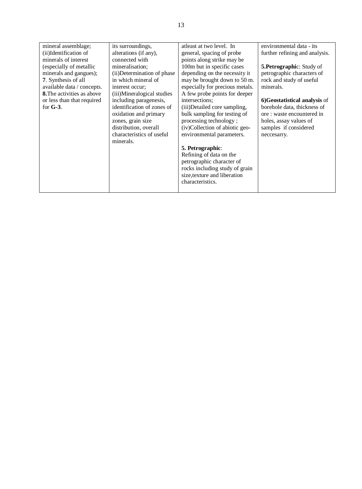| mineral assemblage;               | its surroundings,           | atleast at two level. In        | environmental data - its       |
|-----------------------------------|-----------------------------|---------------------------------|--------------------------------|
| (ii)Identification of             | alterations (if any),       | general, spacing of probe       | further refining and analysis. |
| minerals of interest              | connected with              | points along strike may be      |                                |
| (especially of metallic           | mineralisation;             | 100m but in specific cases      | 5. Petrographic: Study of      |
| minerals and gangues);            | (ii) Determination of phase | depending on the necessity it   | petrographic characters of     |
| 7. Synthesis of all               | in which mineral of         | may be brought down to 50 m.    | rock and study of useful       |
| available data / concepts.        | interest occur:             | especially for precious metals. | minerals.                      |
| <b>8.</b> The activities as above | (iii)Mineralogical studies  | A few probe points for deeper   |                                |
| or less than that required        | including paragenesis,      | intersections;                  | 6)Geostatistical analysis of   |
| for $G-3$ .                       | identification of zones of  | (iii)Detailed core sampling,    | borehole data, thickness of    |
|                                   | oxidation and primary       | bulk sampling for testing of    | ore: waste encountered in      |
|                                   | zones, grain size           | processing technology;          | holes, assay values of         |
|                                   | distribution, overall       | (iv)Collection of abiotic geo-  | samples if considered          |
|                                   | characteristics of useful   | environmental parameters.       | neccesarry.                    |
|                                   | minerals.                   |                                 |                                |
|                                   |                             | <b>5. Petrographic:</b>         |                                |
|                                   |                             | Refining of data on the         |                                |
|                                   |                             | petrographic character of       |                                |
|                                   |                             | rocks including study of grain  |                                |
|                                   |                             | size, texture and liberation    |                                |
|                                   |                             |                                 |                                |
|                                   |                             | characteristics.                |                                |
|                                   |                             |                                 |                                |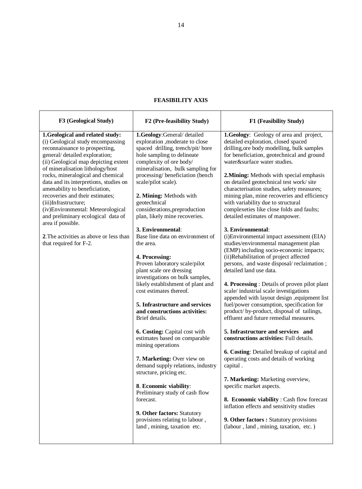| F3 (Geological Study)                                                                                                                                                                                                                                                                                                                                                                                                                                                       | F2 (Pre-feasibility Study)                                                                                                                                                                                                                                                                                                                                              | F1 (Feasibility Study)                                                                                                                                                                                                                                                                                                                                                                                                                                                                                                                             |
|-----------------------------------------------------------------------------------------------------------------------------------------------------------------------------------------------------------------------------------------------------------------------------------------------------------------------------------------------------------------------------------------------------------------------------------------------------------------------------|-------------------------------------------------------------------------------------------------------------------------------------------------------------------------------------------------------------------------------------------------------------------------------------------------------------------------------------------------------------------------|----------------------------------------------------------------------------------------------------------------------------------------------------------------------------------------------------------------------------------------------------------------------------------------------------------------------------------------------------------------------------------------------------------------------------------------------------------------------------------------------------------------------------------------------------|
| 1. Geological and related study:<br>(i) Geological study encompassing<br>reconnaissance to prospecting,<br>general/ detailed exploration;<br>(ii) Geological map depicting extent<br>of mineralisation lithology/host<br>rocks, mineralogical and chemical<br>data and its interpretions, studies on<br>amenability to beneficiation,<br>recoveries and their estimates;<br>(iii)Infrastructure;<br>(iv)Environmental: Meteorological<br>and preliminary ecological data of | 1.Geology:General/detailed<br>exploration , moderate to close<br>spaced drilling, trench/pit/ bore<br>hole sampling to delineate<br>complexity of ore body/<br>mineralisation, bulk sampling for<br>processing/beneficiation (bench<br>scale/pilot scale).<br>2. Mining: Methods with<br>geotechnical<br>considerations, preproduction<br>plan, likely mine recoveries. | 1.Geology: Geology of area and project,<br>detailed exploration, closed spaced<br>drilling, ore body modelling, bulk samples<br>for beneficiation, geotechnical and ground<br>water&surface water studies.<br>2. Mining: Methods with special emphasis<br>on detailed geotechnical test work/site<br>characterisation studies, safety measures;<br>mining plan, mine recoveries and efficiency<br>with variability due to structural<br>complexeties like close folds and faults;<br>detailed estimates of manpower.                               |
| area if possible.<br>2. The activities as above or less than<br>that required for F-2.                                                                                                                                                                                                                                                                                                                                                                                      | 3. Environmental:<br>Base line data on environment of<br>the area.<br>4. Processing:<br>Proven laboratory scale/pilot<br>plant scale ore dressing<br>investigations on bulk samples,<br>likely establishment of plant and<br>cost estimates thereof.<br>5. Infrastructure and services<br>and constructions activities:<br>Brief details.                               | 3. Environmental:<br>(i) Environmental impact assessment (EIA)<br>studies/environmental management plan<br>(EMP) including socio-economic impacts;<br>(ii)Rehabilitation of project affected<br>persons, and waste disposal/reclaimation;<br>detailed land use data.<br>4. Processing: Details of proven pilot plant<br>scale/industrial scale investigations<br>appended with layout design , equipment list<br>fuel/power consumption, specification for<br>product/ by-product, disposal of tailings,<br>effluent and future remedial measures. |
|                                                                                                                                                                                                                                                                                                                                                                                                                                                                             | 6. Costing: Capital cost with<br>estimates based on comparable<br>mining operations<br>7. Marketing: Over view on<br>demand supply relations, industry<br>structure, pricing etc.<br>8. Economic viability:<br>Preliminary study of cash flow<br>forecast.<br>9. Other factors: Statutory<br>provisions relating to labour,<br>land, mining, taxation etc.              | 5. Infrastructure and services and<br>constructions activities: Full details.<br>6. Costing: Detailed breakup of capital and<br>operating costs and details of working<br>capital.<br>7. Marketing: Marketing overview,<br>specific market aspects.<br>8. Economic viability: Cash flow forecast<br>inflation effects and sensitivity studies<br>9. Other factors : Statutory provisions<br>(labour, land, mining, taxation, etc.)                                                                                                                 |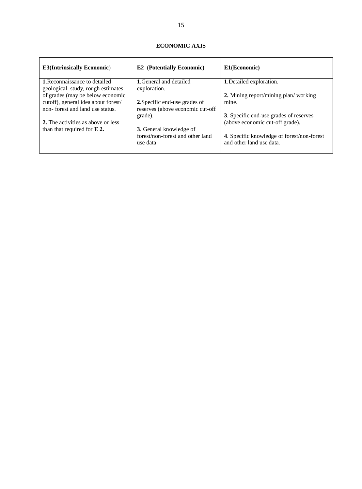| <b>E3(Intrinsically Economic)</b>                                      | <b>E2</b> (Potentially Economic)                                  | E1(Economic)                                                           |
|------------------------------------------------------------------------|-------------------------------------------------------------------|------------------------------------------------------------------------|
| 1. Reconnaissance to detailed<br>geological study, rough estimates     | 1. General and detailed<br>exploration.                           | 1. Detailed exploration.                                               |
| of grades (may be below economic                                       |                                                                   | 2. Mining report/mining plan/working                                   |
| cutoff), general idea about forest/<br>non-forest and land use status. | 2. Specific end-use grades of<br>reserves (above economic cut-off | mine.                                                                  |
|                                                                        | grade).                                                           | 3. Specific end-use grades of reserves                                 |
| 2. The activities as above or less                                     |                                                                   | (above economic cut-off grade).                                        |
| than that required for $E$ 2.                                          | <b>3.</b> General knowledge of                                    |                                                                        |
|                                                                        | forest/non-forest and other land<br>use data                      | 4. Specific knowledge of forest/non-forest<br>and other land use data. |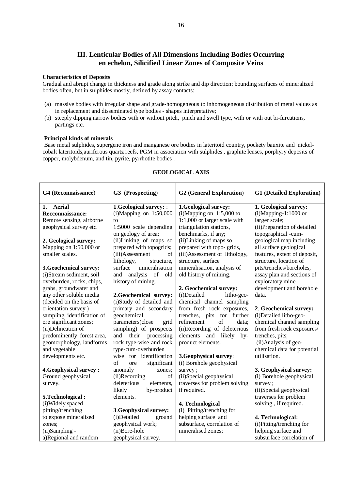## **III**. **Lenticular Bodies of All Dimensions Including Bodies Occurring en echelon, Silicified Linear Zones of Composite Veins**

#### **Characteristics of Deposits**

Gradual and abrupt change in thickness and grade along strike and dip direction; bounding surfaces of mineralized bodies often, but in sulphides mostly, defined by assay contacts:

- (a) massive bodies with irregular shape and grade-homogeneous to inhomogeneous distribution of metal values as in replacement and disseminated type bodies - shapes interpretative;
- (b) steeply dipping narrow bodies with or without pitch, pinch and swell type, with or with out bi-furcations, partings etc.

#### **Principal kinds of minerals**

 Base metal sulphides, supergene iron and manganese ore bodies in lateritoid country, pockety bauxite and nickelcobalt lateritoids,auriferous quartz reefs, PGM in association with sulphides , graphite lenses, porphyry deposits of copper, molybdenum, and tin, pyrite, pyrrhotite bodies .

| G4 (Reconnaissance)           | G3 (Prospecting)                        | <b>G2</b> (General Exploration) | <b>G1</b> (Detailed Exploration) |
|-------------------------------|-----------------------------------------|---------------------------------|----------------------------------|
| Aerial<br>1.                  | 1.Geological survey: :                  | 1.Geological survey:            | 1. Geological survey:            |
| Recconnaissance:              | $(i)$ Mapping on 1:50,000               | $(i)$ Mapping on 1:5,000 to     | $(i)$ Mapping-1:1000 or          |
| Remote sensing, airborne      | to                                      | 1:1,000 or larger scale with    | larger scale;                    |
| geophysical survey etc.       | $1:5000$ scale depending                | triangulation stations,         | (ii) Preparation of detailed     |
|                               | on geology of area;                     | benchmarks, if any;             | topographical -cum-              |
| 2. Geological survey:         | (ii)Linking of maps so                  | (ii)Linking of maps so          | geological map including         |
| Mapping on $1:50,000$ or      | prepared with topogrids;                | prepared with topo- grids,      | all surface geological           |
| smaller scales.               | (iii)Assessment<br>of                   | (iii) Assessment of lithology,  | features, extent of deposit,     |
|                               | lithology,<br>structure,                | structure, surface              | structure, location of           |
| 3. Geochemical survey:        | mineralisation<br>surface               | mineralisation, analysis of     | pits/trenches/boreholes,         |
| (i)Stream sediment, soil      | and<br>analysis<br><sub>of</sub><br>old | old history of mining.          | assay plan and sections of       |
| overburden, rocks, chips,     | history of mining.                      |                                 | exploratory mine                 |
| grabs, groundwater and        |                                         | 2. Geochemical survey:          | development and borehole         |
| any other soluble media       | 2.Geochemical survey:                   | (i)Detailed<br>litho-geo-       | data.                            |
| (decided on the basis of      | (i)Study of detailed and                | chemical channel sampling       |                                  |
| orientation survey)           | primary and secondary                   | from fresh rock exposures,      | 2. Geochemical survey:           |
| sampling, identification of   | geochemical                             | trenches, pits<br>for further   | (i) Detailed litho-geo-          |
| ore significant zones;        | parameters(close<br>grid                | refinement<br>of<br>data;       | chemical channel sampling        |
| (ii)Delineation of            | sampling) of prospects                  | (ii)Recording of deleterious    | from fresh rock exposures/       |
| predominently forest area,    | their<br>processing<br>and              | and likely<br>elements<br>$by-$ | trenches, pits;                  |
| geomorphology, landforms      | rock type-wise and rock                 | product elements.               | (ii) Analysis of geo-            |
| and vegetable                 | type-cum-overburden                     |                                 | chemical data for potential      |
| developments etc.             | wise for identification                 | 3. Geophysical survey:          | utilisation.                     |
|                               | of<br>significant<br>ore                | (i) Borehole geophysical        |                                  |
| <b>4. Geophysical survey:</b> | anomaly<br>zones;                       | survey;                         | 3. Geophysical survey:           |
| Ground geophysical            | (ii)Recording<br>of                     | (ii)Special geophysical         | (i) Borehole geophysical         |
| survey.                       | deleterious<br>elements,                | traverses for problem solving   | survey;                          |
|                               | likely<br>by-product                    | if required.                    | (ii)Special geophysical          |
| 5. Technological:             | elements.                               |                                 | traverses for problem            |
| (i) Widely spaced             |                                         | 4. Technological                | solving, if required.            |
| pitting/trenching             | 3. Geophysical survey:                  | (i) Pitting/trenching for       |                                  |
| to expose mineralised         | (i)Detailed<br>ground                   | helping surface and             | 4. Technological:                |
| zones:                        | geophysical work;                       | subsurface, correlation of      | (i)Pitting/trenching for         |
| (ii)Sampling -                | (ii)Bore-hole                           | mineralised zones;              | helping surface and              |
| a)Regional and random         | geophysical survey.                     |                                 | subsurface correlation of        |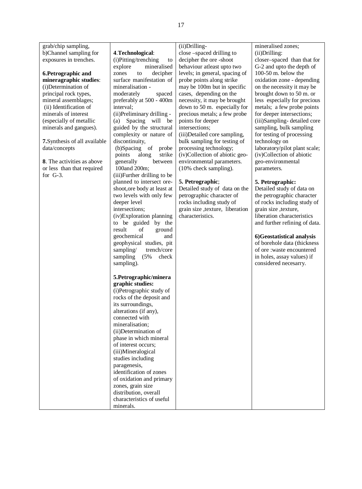grab/chip sampling, b)Channel sampling for exposures in trenches.

### **6.Petrographic and mineragraphic studies**: (i)Determination of principal rock types, mineral assemblages; (ii) Identification of minerals of interest (especially of metallic minerals and gangues).

**7.**Synthesis of all available data/concepts

**8**. The activities as above or less than that required for G-3.

### **4**.**Technological**:

(i)Pitting/trenching to explore mineralised zones to decipher surface manifestation of mineralisation moderately spaced preferably at 500 - 400m interval; (ii)Preliminary drilling - (a) Spacing will be guided by the structural complexity or nature of discontinuity, (b)Spacing of probe points along strike<br>generally between generally 100and 200m; (iii)Further drilling to be planned to intersect oreshoot,ore body at least at two levels with only few deeper level intersections; (iv)Exploration planning to be guided by the result of ground geochemical and geophysical studies, pit sampling/ trench/core sampling (5% check sampling). **5.Petrographic/minera graphic studies:**

(i)Petrographic study of rocks of the deposit and its surroundings, alterations (if any), connected with mineralisation; (ii)Determination of phase in which mineral of interest occurs; (iii)Mineralogical studies including paragenesis, identification of zones of oxidation and primary zones, grain size distribution, overall characteristics of useful minerals.

### (ii)Drilling-

close –spaced drilling to decipher the ore -shoot behaviour atleast upto two levels; in general, spacing of probe points along strike may be 100m but in specific cases, depending on the necessity, it may be brought down to 50 m. especially for precious metals; a few probe points for deeper intersections; (iii)Detailed core sampling, bulk sampling for testing of processing technology; (iv)Collection of abiotic geoenvironmental parameters. (10% check sampling).

### **5. Petrographic**;

Detailed study of data on the petrographic character of rocks including study of grain size ,texture, liberation characteristics.

#### mineralised zones; (ii)Drilling:

closer–spaced than that for G-2 and upto the depth of 100-50 m. below the oxidation zone - depending on the necessity it may be brought down to 50 m. or less especially for precious metals; a few probe points for deeper intersections; (iii)Sampling- detailed core sampling, bulk sampling for testing of processing technology on laboratory/pilot plant scale; (iv)Collection of abiotic geo-environmental parameters.

### **5. Petrographic:**

Detailed study of data on the petrographic character of rocks including study of grain size ,texture, liberation characteristics and further refining of data.

### **6)Geostatistical analysis**

of borehole data (thickness of ore :waste encountered in holes, assay values) if considered necesarry.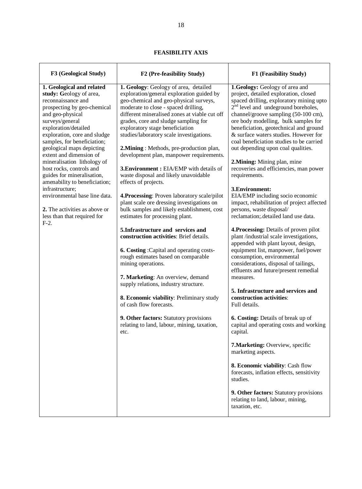| F3 (Geological Study)                                                                                                                                                                                                                                                                                                                                                                                                                                                                                                                                    | F2 (Pre-feasibility Study)                                                                                                                                                                                                                                                                                                                                                                                                                                                                                                                                                                                                                                                                                                                                                                                                                                                                                                                                                                                                                                                                                                                                                       | F1 (Feasibility Study)                                                                                                                                                                                                                                                                                                                                                                                                                                                                                                                                                                                                                                                                                                                                                                                                                                                                                                                                                                                                                                                                                                                                                                                                                                                                                                                                                                                                                   |
|----------------------------------------------------------------------------------------------------------------------------------------------------------------------------------------------------------------------------------------------------------------------------------------------------------------------------------------------------------------------------------------------------------------------------------------------------------------------------------------------------------------------------------------------------------|----------------------------------------------------------------------------------------------------------------------------------------------------------------------------------------------------------------------------------------------------------------------------------------------------------------------------------------------------------------------------------------------------------------------------------------------------------------------------------------------------------------------------------------------------------------------------------------------------------------------------------------------------------------------------------------------------------------------------------------------------------------------------------------------------------------------------------------------------------------------------------------------------------------------------------------------------------------------------------------------------------------------------------------------------------------------------------------------------------------------------------------------------------------------------------|------------------------------------------------------------------------------------------------------------------------------------------------------------------------------------------------------------------------------------------------------------------------------------------------------------------------------------------------------------------------------------------------------------------------------------------------------------------------------------------------------------------------------------------------------------------------------------------------------------------------------------------------------------------------------------------------------------------------------------------------------------------------------------------------------------------------------------------------------------------------------------------------------------------------------------------------------------------------------------------------------------------------------------------------------------------------------------------------------------------------------------------------------------------------------------------------------------------------------------------------------------------------------------------------------------------------------------------------------------------------------------------------------------------------------------------|
| 1. Geological and related<br>study: Geology of area,<br>reconnaissance and<br>prospecting by geo-chemical<br>and geo-physical<br>surveys/general<br>exploration/detailed<br>exploration, core and sludge<br>samples, for beneficiation;<br>geological maps depicting<br>extent and dimension of<br>mineralisation lithology of<br>host rocks, controls and<br>guides for mineralisation,<br>amenability to beneficiation;<br>infrastructure;<br>environmental base line data.<br>2. The activities as above or<br>less than that required for<br>$F-2$ . | 1. Geology: Geology of area, detailed<br>exploration/general exploration guided by<br>geo-chemical and geo-physical surveys,<br>moderate to close - spaced drilling,<br>different mineralised zones at viable cut off<br>grades, core and sludge sampling for<br>exploratory stage beneficiation<br>studies/laboratory scale investigations.<br>2. Mining: Methods, pre-production plan,<br>development plan, manpower requirements.<br>3. Environment: EIA/EMP with details of<br>waste disposal and likely unavoidable<br>effects of projects.<br>4. Processing: Proven laboratory scale/pilot<br>plant scale ore dressing investigations on<br>bulk samples and likely establishment, cost<br>estimates for processing plant.<br>5. Infrastructure and services and<br>construction activities: Brief details.<br>6. Costing: Capital and operating costs-<br>rough estimates based on comparable<br>mining operations.<br>7. Marketing: An overview, demand<br>supply relations, industry structure.<br>8. Economic viability: Preliminary study<br>of cash flow forecasts.<br>9. Other factors: Statutory provisions<br>relating to land, labour, mining, taxation,<br>etc. | 1. Geology: Geology of area and<br>project, detailed exploration, closed<br>spaced drilling, exploratory mining upto<br>2 <sup>nd</sup> level and undeground boreholes,<br>channel/groove sampling (50-100 cm),<br>ore body modelling, bulk samples for<br>beneficiation, geotechnical and ground<br>& surface waters studies. However for<br>coal beneficiation studies to be carried<br>out depending upon coal qualities.<br>2. Mining: Mining plan, mine<br>recoveries and efficiencies, man power<br>requirements.<br>3. Environment:<br>EIA/EMP including socio economic<br>impact, rehabilitation of project affected<br>persons, waste disposal/<br>reclamation; detailed land use data.<br>4. Processing: Details of proven pilot<br>plant/industrial scale investigations,<br>appended with plant layout, design,<br>equipment list, manpower, fuel/power<br>consumption, environmental<br>considerations, disposal of tailings,<br>effluents and future/present remedial<br>measures.<br>5. Infrastructure and services and<br>construction activities:<br>Full details.<br>6. Costing: Details of break up of<br>capital and operating costs and working<br>capital.<br>7. Marketing: Overview, specific<br>marketing aspects.<br>8. Economic viability: Cash flow<br>forecasts, inflation effects, sensitivity<br>studies.<br>9. Other factors: Statutory provisions<br>relating to land, labour, mining,<br>taxation, etc. |
|                                                                                                                                                                                                                                                                                                                                                                                                                                                                                                                                                          |                                                                                                                                                                                                                                                                                                                                                                                                                                                                                                                                                                                                                                                                                                                                                                                                                                                                                                                                                                                                                                                                                                                                                                                  |                                                                                                                                                                                                                                                                                                                                                                                                                                                                                                                                                                                                                                                                                                                                                                                                                                                                                                                                                                                                                                                                                                                                                                                                                                                                                                                                                                                                                                          |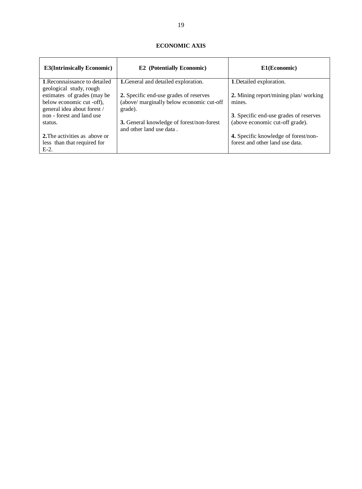| <b>E3(Intrinsically Economic)</b>                               | <b>E2</b> (Potentially Economic)                                             | E1(Economic)                           |
|-----------------------------------------------------------------|------------------------------------------------------------------------------|----------------------------------------|
| <b>1. Reconnaissance to detailed</b><br>geological study, rough | <b>1.</b> General and detailed exploration.                                  | 1. Detailed exploration.               |
| estimates of grades (may be)                                    | 2. Specific end-use grades of reserves                                       | 2. Mining report/mining plan/working   |
| below economic cut -off),<br>general idea about forest /        | (above/ marginally below economic cut-off<br>grade).                         | mines.                                 |
| non - forest and land use                                       |                                                                              | 3. Specific end-use grades of reserves |
| status.                                                         | <b>3.</b> General knowledge of forest/non-forest<br>and other land use data. | (above economic cut-off grade).        |
| 2. The activities as above or                                   |                                                                              | 4. Specific knowledge of forest/non-   |
| less than that required for                                     |                                                                              | forest and other land use data.        |
| $E-2$ .                                                         |                                                                              |                                        |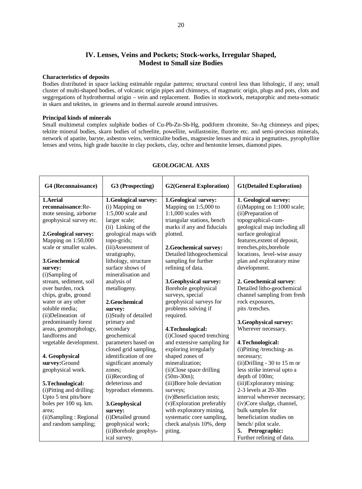# **IV. Lenses, Veins and Pockets; Stock-works, Irregular Shaped, Modest to Small size Bodies**

#### **Characteristics of deposits**

Bodies distributed in space lacking estimable regular patterns; structural control less than lithologic, if any; small cluster of multi-shaped bodies, of volcanic origin pipes and chimneys, of magmatic origin, plugs and pots, clots and seggregations of hydrothermal origin – vein and replacement. Bodies in stockwork, metaporphic and meta-somatic in skarn and tektites, in griesens and in thermal aureole around intrusives.

#### **Principal kinds of minerals**

Small multimetal complex sulphide bodies of Cu-Pb-Zn-Sb-Hg, podiform chromite, Sn-Ag chimneys and pipes; tektite mineral bodies, skarn bodies of scheelite, powellite, wollastonite, fluorite etc. and semi-precious minerals, network of apatite, baryte, asbestos veins, vermiculite bodies, magnesite lenses and mica in pegmatites, pyrophyllite lenses and veins, high grade bauxite in clay pockets, clay, ochre and bentonite lenses, diamond pipes.

| G4 (Reconnaissance)       | G3 (Prospecting)      | <b>G2(General Exploration)</b> | <b>G1(Detailed Exploration)</b> |
|---------------------------|-----------------------|--------------------------------|---------------------------------|
| 1.Aerial                  | 1.Geological survey:  | 1.Geological survey:           | 1. Geological survey:           |
| reconnaissance:Re-        | (i) Mapping on        | Mapping on 1:5,000 to          | (i)Mapping on 1:1000 scale;     |
| mote sensing, airborne    | $1:5,000$ scale and   | $1:1,000$ scales with          | (ii) Preparation of             |
| geophysical survey etc.   | larger scale;         | triangular stations, bench     | topographical-cum-              |
|                           | (ii) Linking of the   | marks if any and fiducials     | geological map including all    |
| 2. Geological survey:     | geological maps with  | plotted.                       | surface geological              |
| Mapping on 1:50,000       | topo-grids;           |                                | features, extent of deposit,    |
| scale or smaller scales.  | (iii)Assessment of    | 2. Geochemical survey:         | trenches, pits, borehole        |
|                           | stratigraphy,         | Detailed lithogeochemical      | locations, level-wise assay     |
| 3.Geochemical             | lithology, structure  | sampling for further           | plan and exploratory mine       |
| survey:                   | surface shows of      | refining of data.              | development.                    |
| (i)Sampling of            | mineralisation and    |                                |                                 |
| stream, sediment, soil    | analysis of           | 3. Geophysical survey:         | 2. Geochemical survey:          |
| over burden, rock         | metallogeny.          | Borehole geophysical           | Detailed litho-geochemical      |
| chips, grabs, ground      |                       | surveys, special               | channel sampling from fresh     |
| water or any other        | 2.Geochemical         | geophysical surveys for        | rock exposures,                 |
| soluble media;            | survey:               | problems solving if            | pits/trenches.                  |
| (ii)Delineation of        | (i)Study of detailed  | required.                      |                                 |
| predominantly forest      | primary and           |                                | 3. Geophysical survey:          |
| areas, geomorphology,     | secondary             | 4. Technological:              | Wherever necessary.             |
| landforms and             | geochemical           | (i)Closed spaced trenching     |                                 |
| vegetable development.    | parameters based on   | and extensive sampling for     | 4. Technological:               |
|                           | closed grid sampling, | exploring irregularly          | (i)Pitting/trenching-as         |
| 4. Geophysical            | identification of ore | shaped zones of                | necessary;                      |
| survey:Ground             | significant anomaly   | mineralization;                | $(ii)$ Drilling - 30 to 15 m or |
| geophysical work.         | zones:                | (ii)Close space drilling       | less strike interval upto a     |
|                           | (ii)Recording of      | $(50m-30m);$                   | depth of 100m;                  |
| 5. Technological:         | deleterious and       | (iii)Bore hole deviation       | (iii)Exploratory mining:        |
| (i) Pitting and drilling: | byproduct elements.   | surveys;                       | 2-3 levels at 20-30m            |
| Upto 5 test pits/bore     |                       | (iv)Beneficiation tests;       | interval wherever necessary;    |
| boles per 100 sq. km.     | 3.Geophysical         | (v)Exploration preferably      | (iv)Core sludge, channel,       |
| area:                     | survey:               | with exploratory mining,       | bulk samples for                |
| (ii)Sampling: Regional    | (i)Detailed ground    | systematic core sampling,      | beneficiation studies on        |
| and random sampling;      | geophysical work;     | check analysis 10%, deep       | bench/pilot scale.              |
|                           | (ii)Borehole geophys- | piting.                        | Petrographic:<br>5.             |
|                           | ical survey.          |                                | Further refining of data.       |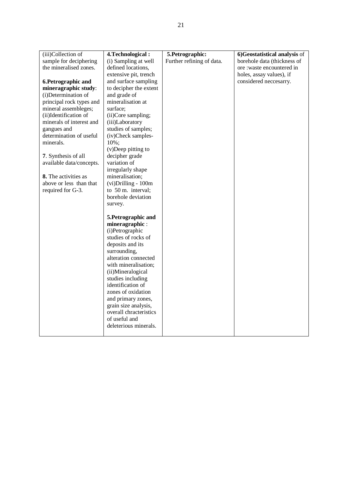| (iii)Collection of       | 4. Technological:      | 5. Petrographic:          | 6)Geostatistical analysis of |
|--------------------------|------------------------|---------------------------|------------------------------|
| sample for deciphering   | (i) Sampling at well   | Further refining of data. | borehole data (thickness of  |
| the mineralised zones.   | defined locations,     |                           | ore :waste encountered in    |
|                          | extensive pit, trench  |                           | holes, assay values), if     |
| 6. Petrographic and      | and surface sampling   |                           | considered neccesarry.       |
| mineragraphic study:     | to decipher the extent |                           |                              |
| (i)Determination of      | and grade of           |                           |                              |
| principal rock types and | mineralisation at      |                           |                              |
| mineral assembleges;     | surface;               |                           |                              |
| (ii)Identification of    | (ii)Core sampling;     |                           |                              |
| minerals of interest and | (iii)Laboratory        |                           |                              |
| gangues and              | studies of samples;    |                           |                              |
| determination of useful  | (iv)Check samples-     |                           |                              |
| minerals.                | 10%;                   |                           |                              |
|                          | $(v)$ Deep pitting to  |                           |                              |
| 7. Synthesis of all      | decipher grade         |                           |                              |
| available data/concepts. | variation of           |                           |                              |
|                          | irregularly shape      |                           |                              |
| 8. The activities as     | mineralisation;        |                           |                              |
| above or less than that  | (vi) Drilling - 100m   |                           |                              |
| required for G-3.        | to 50 m. interval;     |                           |                              |
|                          | borehole deviation     |                           |                              |
|                          | survey.                |                           |                              |
|                          | 5. Petrographic and    |                           |                              |
|                          | mineragraphic:         |                           |                              |
|                          | (i)Petrographic        |                           |                              |
|                          | studies of rocks of    |                           |                              |
|                          | deposits and its       |                           |                              |
|                          | surrounding,           |                           |                              |
|                          | alteration connected   |                           |                              |
|                          | with mineralisation;   |                           |                              |
|                          | (ii)Mineralogical      |                           |                              |
|                          | studies including      |                           |                              |
|                          | identification of      |                           |                              |
|                          | zones of oxidation     |                           |                              |
|                          | and primary zones,     |                           |                              |
|                          | grain size analysis,   |                           |                              |
|                          | overall chracteristics |                           |                              |
|                          | of useful and          |                           |                              |
|                          | deleterious minerals.  |                           |                              |
|                          |                        |                           |                              |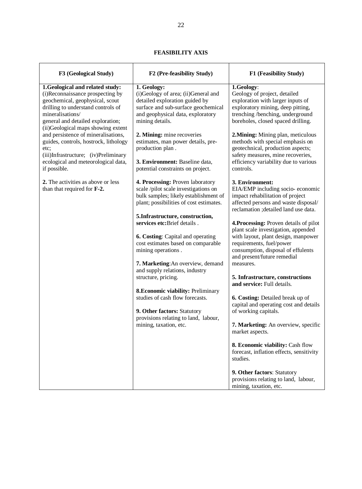| F3 (Geological Study)                                                                                                                                                                                                                       | F2 (Pre-feasibility Study)                                                                                                                                                                                                                     | F1 (Feasibility Study)                                                                                                                                                                                                             |
|---------------------------------------------------------------------------------------------------------------------------------------------------------------------------------------------------------------------------------------------|------------------------------------------------------------------------------------------------------------------------------------------------------------------------------------------------------------------------------------------------|------------------------------------------------------------------------------------------------------------------------------------------------------------------------------------------------------------------------------------|
| 1.Geological and related study:<br>(i)Reconnaissance prospecting by<br>geochemical, geophysical, scout<br>drilling to understand controls of<br>mineralisations/<br>general and detailed exploration;<br>(ii)Geological maps showing extent | 1. Geology:<br>(i)Geology of area; (ii)General and<br>detailed exploration guided by<br>surface and sub-surface geochemical<br>and geophysical data, exploratory<br>mining details.                                                            | 1.Geology:<br>Geology of project, detailed<br>exploration with larger inputs of<br>exploratory mining, deep pitting,<br>trenching/benching, underground<br>boreholes, closed spaced drilling.                                      |
| and persistence of mineralisations,<br>guides, controls, hostrock, lithology<br>etc;<br>(iii)Infrastructure; (iv)Preliminary<br>ecological and meteorological data,<br>if possible.                                                         | 2. Mining: mine recoveries<br>estimates, man power details, pre-<br>production plan.<br>3. Environment: Baseline data,<br>potential constraints on project.                                                                                    | 2. Mining: Mining plan, meticulous<br>methods with special emphasis on<br>geotechnical, production aspects;<br>safety measures, mine recoveries,<br>efficiency variability due to various<br>controls.                             |
| 2. The activities as above or less<br>than that required for F-2.                                                                                                                                                                           | 4. Processing: Proven laboratory<br>scale /pilot scale investigations on<br>bulk samples; likely establishment of<br>plant; possibilities of cost estimates.                                                                                   | 3. Environment:<br>EIA/EMP including socio-economic<br>impact rehabilitation of project<br>affected persons and waste disposal/<br>reclamation ; detailed land use data.                                                           |
|                                                                                                                                                                                                                                             | 5.Infrastructure, construction,<br>services etc: Brief details.<br><b>6. Costing:</b> Capital and operating<br>cost estimates based on comparable<br>mining operations.<br>7. Marketing: An overview, demand<br>and supply relations, industry | 4. Processing: Proven details of pilot<br>plant scale investigation, appended<br>with layout, plant design, manpower<br>requirements, fuel/power<br>consumption, disposal of effulents<br>and present/future remedial<br>measures. |
|                                                                                                                                                                                                                                             | structure, pricing.<br><b>8. Economic viability: Preliminary</b>                                                                                                                                                                               | 5. Infrastructure, constructions<br>and service: Full details.                                                                                                                                                                     |
|                                                                                                                                                                                                                                             | studies of cash flow forecasts.<br>9. Other factors: Statutory<br>provisions relating to land, labour,                                                                                                                                         | 6. Costing: Detailed break up of<br>capital and operating cost and details<br>of working capitals.                                                                                                                                 |
|                                                                                                                                                                                                                                             | mining, taxation, etc.                                                                                                                                                                                                                         | 7. Marketing: An overview, specific<br>market aspects.                                                                                                                                                                             |
|                                                                                                                                                                                                                                             |                                                                                                                                                                                                                                                | 8. Economic viability: Cash flow<br>forecast, inflation effects, sensitivity<br>studies.                                                                                                                                           |
|                                                                                                                                                                                                                                             |                                                                                                                                                                                                                                                | 9. Other factors: Statutory<br>provisions relating to land, labour,<br>mining, taxation, etc.                                                                                                                                      |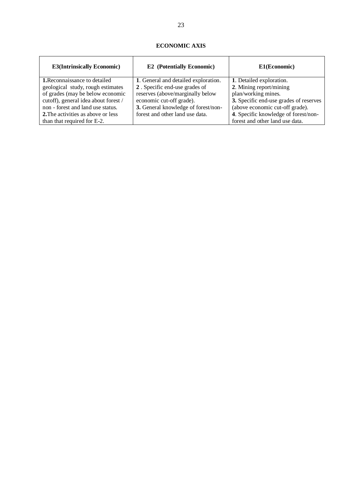| <b>E3(Intrinsically Economic)</b>         | <b>E2</b> (Potentially Economic)     | E1(Economic)                           |
|-------------------------------------------|--------------------------------------|----------------------------------------|
| 1. Reconnaissance to detailed             | 1. General and detailed exploration. | 1. Detailed exploration.               |
| geological study, rough estimates         | 2. Specific end-use grades of        | 2. Mining report/mining                |
| of grades (may be below economic          | reserves (above/marginally below     | plan/working mines.                    |
| cutoff), general idea about forest /      | economic cut-off grade).             | 3. Specific end-use grades of reserves |
| non - forest and land use status.         | 3. General knowledge of forest/non-  | (above economic cut-off grade).        |
| <b>2.</b> The activities as above or less | forest and other land use data.      | 4. Specific knowledge of forest/non-   |
| than that required for E-2.               |                                      | forest and other land use data.        |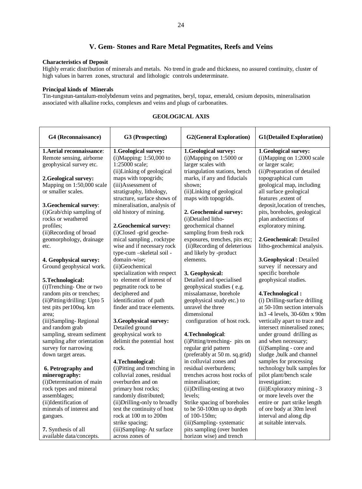# **V. Gem- Stones and Rare Metal Pegmatites, Reefs and Veins**

### **Characteristics of Deposit**

Highly erratic distribution of minerals and metals. No trend in grade and thickness, no assured continuity, cluster of high values in barren zones, structural and lithologic controls undeterminate.

### **Principal kinds of Minerals**

Tin-tungstun-tantalum-molybdenum veins and pegmatites, beryl, topaz, emerald, cesium deposits, mineralisation associated with alkaline rocks, complexes and veins and plugs of carbonatites.

| 1. Aerial reconnaissance:<br>1.Geological survey:<br>1.Geological survey:<br>(i)Mapping on 1:2000 scale<br>Remote sensing, airborne<br>$(i)$ Mapping: 1:50,000 to<br>(i)Mapping on 1:5000 or<br>1:25000 scale;<br>geophysical survey etc.<br>larger scales with<br>or larger scale;<br>(ii)Linking of geological<br>triangulation stations, bench<br>(ii) Preparation of detailed<br>maps with topogrids;<br>marks, if any and fiducials<br>topographical cum<br>2. Geological survey:<br>Mapping on 1:50,000 scale<br>(iii)Assessment of<br>shown;<br>geological map, including<br>or smaller scales.<br>stratigraphy, lithology,<br>(ii)Linking of geological<br>all surface geological<br>structure, surface shows of<br>maps with topogrids.<br>features , extent of<br>mineralisation, analysis of<br>deposit, location of trenches,<br>3. Geochemical survey:<br>(i)Grab/chip sampling of<br>old history of mining.<br>pits, boreholes, geological<br>2. Geochemical survey:<br>rocks or weathered<br>plan and<br>sections of<br>(i)Detailed litho-<br>exploratory mining.<br>geochemical channel<br>profiles;<br>2. Geochemical survey:<br>(i)Closed -grid geoche-<br>sampling from fresh rock<br>(ii)Recording of broad<br>mical sampling, rocktype<br>geomorphology, drainage<br>exposures, trenches, pits etc;<br>2. Geochemical: Detailed<br>(ii)Recording of deleterious<br>wise and if necessary rock<br>litho-geochemical analysis.<br>etc.<br>type-cum -skeletal soil -<br>and likely by -product<br>domain-wise;<br>elements.<br>3.Geophysical : Detailed<br>4. Geophysical survey:<br>survey if necessary and<br>Ground geophysical work.<br>(ii)Geochemical<br>specialization with respect<br>specific borehole<br>3. Geophysical:<br>to element of interest of<br>Detailed and specialised<br>geophysical studies.<br>5. Technological:<br>(i)Trenching-One or two<br>geophysical studies (e.g.<br>pegmatite rock to be<br>random pits or trenches;<br>missalamasse, borehole<br>deciphered and<br>4. Technological:<br>(ii) Pitting/drilling: Upto 5<br>identification of path<br>(i) Drilling-surface drilling<br>geophysical study etc.) to<br>finder and trace elements.<br>unravel the three<br>at 50-10m section intervals<br>test pits per 100sq. km<br>dimensional<br>in3 -4 levels, 30-60m x 90m<br>area;<br>configuration of host rock.<br>(iii)Sampling-Regional<br>vertically apart to trace and<br>3. Geophysical survey:<br>Detailed ground<br>intersect mineralised zones;<br>and random grab<br>sampling, stream sediment<br>geophysical work to<br>4. Technological:<br>under ground drilling as<br>sampling after orientation<br>delimit the potential host<br>(i)Pitting/trenching- pits on<br>and when necessary;<br>survey for narrowing<br>regular grid pattern<br>(ii)Sampling - core and<br>rock.<br>sludge, bulk and channel<br>down target areas.<br>(preferably at 50 m. sq.grid)<br>in colluvial zones and<br>samples for processing<br>4. Technological:<br>technology bulk samples for<br>(i)Pitting and trenching in<br>residual overburdens;<br>6. Petrography and<br>colluvial zones, residual<br>minerography:<br>trenches across host rocks of<br>pilot plant/bench scale<br>(i)Determination of main<br>overburden and on<br>investigation;<br>mineralisation;<br>rock types and mineral<br>primary host rocks;<br>(ii) Drilling-testing at two<br>(iii)Exploratory mining - 3<br>randomly distributed;<br>levels;<br>or more levels over the<br>assemblages;<br>(ii)Identification of<br>(ii) Drilling-only to broadly<br>Strike spacing of boreholes<br>entire or part strike length<br>minerals of interest and<br>test the continuity of host<br>of ore body at 30m level<br>to be 50-100m up to depth | G4 (Reconnaissance) | G3 (Prospecting) | <b>G2(General Exploration)</b> | <b>G1(Detailed Exploration)</b> |
|-------------------------------------------------------------------------------------------------------------------------------------------------------------------------------------------------------------------------------------------------------------------------------------------------------------------------------------------------------------------------------------------------------------------------------------------------------------------------------------------------------------------------------------------------------------------------------------------------------------------------------------------------------------------------------------------------------------------------------------------------------------------------------------------------------------------------------------------------------------------------------------------------------------------------------------------------------------------------------------------------------------------------------------------------------------------------------------------------------------------------------------------------------------------------------------------------------------------------------------------------------------------------------------------------------------------------------------------------------------------------------------------------------------------------------------------------------------------------------------------------------------------------------------------------------------------------------------------------------------------------------------------------------------------------------------------------------------------------------------------------------------------------------------------------------------------------------------------------------------------------------------------------------------------------------------------------------------------------------------------------------------------------------------------------------------------------------------------------------------------------------------------------------------------------------------------------------------------------------------------------------------------------------------------------------------------------------------------------------------------------------------------------------------------------------------------------------------------------------------------------------------------------------------------------------------------------------------------------------------------------------------------------------------------------------------------------------------------------------------------------------------------------------------------------------------------------------------------------------------------------------------------------------------------------------------------------------------------------------------------------------------------------------------------------------------------------------------------------------------------------------------------------------------------------------------------------------------------------------------------------------------------------------------------------------------------------------------------------------------------------------------------------------------------------------------------------------------------------------------------------------------------------------------------------------------------------------------------------------------------------------------------------------------------------------------------------------------------------------------------------------------------|---------------------|------------------|--------------------------------|---------------------------------|
|                                                                                                                                                                                                                                                                                                                                                                                                                                                                                                                                                                                                                                                                                                                                                                                                                                                                                                                                                                                                                                                                                                                                                                                                                                                                                                                                                                                                                                                                                                                                                                                                                                                                                                                                                                                                                                                                                                                                                                                                                                                                                                                                                                                                                                                                                                                                                                                                                                                                                                                                                                                                                                                                                                                                                                                                                                                                                                                                                                                                                                                                                                                                                                                                                                                                                                                                                                                                                                                                                                                                                                                                                                                                                                                                                                   |                     |                  |                                | 1.Geological survey:            |
|                                                                                                                                                                                                                                                                                                                                                                                                                                                                                                                                                                                                                                                                                                                                                                                                                                                                                                                                                                                                                                                                                                                                                                                                                                                                                                                                                                                                                                                                                                                                                                                                                                                                                                                                                                                                                                                                                                                                                                                                                                                                                                                                                                                                                                                                                                                                                                                                                                                                                                                                                                                                                                                                                                                                                                                                                                                                                                                                                                                                                                                                                                                                                                                                                                                                                                                                                                                                                                                                                                                                                                                                                                                                                                                                                                   |                     |                  |                                |                                 |
|                                                                                                                                                                                                                                                                                                                                                                                                                                                                                                                                                                                                                                                                                                                                                                                                                                                                                                                                                                                                                                                                                                                                                                                                                                                                                                                                                                                                                                                                                                                                                                                                                                                                                                                                                                                                                                                                                                                                                                                                                                                                                                                                                                                                                                                                                                                                                                                                                                                                                                                                                                                                                                                                                                                                                                                                                                                                                                                                                                                                                                                                                                                                                                                                                                                                                                                                                                                                                                                                                                                                                                                                                                                                                                                                                                   |                     |                  |                                |                                 |
|                                                                                                                                                                                                                                                                                                                                                                                                                                                                                                                                                                                                                                                                                                                                                                                                                                                                                                                                                                                                                                                                                                                                                                                                                                                                                                                                                                                                                                                                                                                                                                                                                                                                                                                                                                                                                                                                                                                                                                                                                                                                                                                                                                                                                                                                                                                                                                                                                                                                                                                                                                                                                                                                                                                                                                                                                                                                                                                                                                                                                                                                                                                                                                                                                                                                                                                                                                                                                                                                                                                                                                                                                                                                                                                                                                   |                     |                  |                                |                                 |
|                                                                                                                                                                                                                                                                                                                                                                                                                                                                                                                                                                                                                                                                                                                                                                                                                                                                                                                                                                                                                                                                                                                                                                                                                                                                                                                                                                                                                                                                                                                                                                                                                                                                                                                                                                                                                                                                                                                                                                                                                                                                                                                                                                                                                                                                                                                                                                                                                                                                                                                                                                                                                                                                                                                                                                                                                                                                                                                                                                                                                                                                                                                                                                                                                                                                                                                                                                                                                                                                                                                                                                                                                                                                                                                                                                   |                     |                  |                                |                                 |
|                                                                                                                                                                                                                                                                                                                                                                                                                                                                                                                                                                                                                                                                                                                                                                                                                                                                                                                                                                                                                                                                                                                                                                                                                                                                                                                                                                                                                                                                                                                                                                                                                                                                                                                                                                                                                                                                                                                                                                                                                                                                                                                                                                                                                                                                                                                                                                                                                                                                                                                                                                                                                                                                                                                                                                                                                                                                                                                                                                                                                                                                                                                                                                                                                                                                                                                                                                                                                                                                                                                                                                                                                                                                                                                                                                   |                     |                  |                                |                                 |
|                                                                                                                                                                                                                                                                                                                                                                                                                                                                                                                                                                                                                                                                                                                                                                                                                                                                                                                                                                                                                                                                                                                                                                                                                                                                                                                                                                                                                                                                                                                                                                                                                                                                                                                                                                                                                                                                                                                                                                                                                                                                                                                                                                                                                                                                                                                                                                                                                                                                                                                                                                                                                                                                                                                                                                                                                                                                                                                                                                                                                                                                                                                                                                                                                                                                                                                                                                                                                                                                                                                                                                                                                                                                                                                                                                   |                     |                  |                                |                                 |
|                                                                                                                                                                                                                                                                                                                                                                                                                                                                                                                                                                                                                                                                                                                                                                                                                                                                                                                                                                                                                                                                                                                                                                                                                                                                                                                                                                                                                                                                                                                                                                                                                                                                                                                                                                                                                                                                                                                                                                                                                                                                                                                                                                                                                                                                                                                                                                                                                                                                                                                                                                                                                                                                                                                                                                                                                                                                                                                                                                                                                                                                                                                                                                                                                                                                                                                                                                                                                                                                                                                                                                                                                                                                                                                                                                   |                     |                  |                                |                                 |
|                                                                                                                                                                                                                                                                                                                                                                                                                                                                                                                                                                                                                                                                                                                                                                                                                                                                                                                                                                                                                                                                                                                                                                                                                                                                                                                                                                                                                                                                                                                                                                                                                                                                                                                                                                                                                                                                                                                                                                                                                                                                                                                                                                                                                                                                                                                                                                                                                                                                                                                                                                                                                                                                                                                                                                                                                                                                                                                                                                                                                                                                                                                                                                                                                                                                                                                                                                                                                                                                                                                                                                                                                                                                                                                                                                   |                     |                  |                                |                                 |
|                                                                                                                                                                                                                                                                                                                                                                                                                                                                                                                                                                                                                                                                                                                                                                                                                                                                                                                                                                                                                                                                                                                                                                                                                                                                                                                                                                                                                                                                                                                                                                                                                                                                                                                                                                                                                                                                                                                                                                                                                                                                                                                                                                                                                                                                                                                                                                                                                                                                                                                                                                                                                                                                                                                                                                                                                                                                                                                                                                                                                                                                                                                                                                                                                                                                                                                                                                                                                                                                                                                                                                                                                                                                                                                                                                   |                     |                  |                                |                                 |
|                                                                                                                                                                                                                                                                                                                                                                                                                                                                                                                                                                                                                                                                                                                                                                                                                                                                                                                                                                                                                                                                                                                                                                                                                                                                                                                                                                                                                                                                                                                                                                                                                                                                                                                                                                                                                                                                                                                                                                                                                                                                                                                                                                                                                                                                                                                                                                                                                                                                                                                                                                                                                                                                                                                                                                                                                                                                                                                                                                                                                                                                                                                                                                                                                                                                                                                                                                                                                                                                                                                                                                                                                                                                                                                                                                   |                     |                  |                                |                                 |
|                                                                                                                                                                                                                                                                                                                                                                                                                                                                                                                                                                                                                                                                                                                                                                                                                                                                                                                                                                                                                                                                                                                                                                                                                                                                                                                                                                                                                                                                                                                                                                                                                                                                                                                                                                                                                                                                                                                                                                                                                                                                                                                                                                                                                                                                                                                                                                                                                                                                                                                                                                                                                                                                                                                                                                                                                                                                                                                                                                                                                                                                                                                                                                                                                                                                                                                                                                                                                                                                                                                                                                                                                                                                                                                                                                   |                     |                  |                                |                                 |
|                                                                                                                                                                                                                                                                                                                                                                                                                                                                                                                                                                                                                                                                                                                                                                                                                                                                                                                                                                                                                                                                                                                                                                                                                                                                                                                                                                                                                                                                                                                                                                                                                                                                                                                                                                                                                                                                                                                                                                                                                                                                                                                                                                                                                                                                                                                                                                                                                                                                                                                                                                                                                                                                                                                                                                                                                                                                                                                                                                                                                                                                                                                                                                                                                                                                                                                                                                                                                                                                                                                                                                                                                                                                                                                                                                   |                     |                  |                                |                                 |
|                                                                                                                                                                                                                                                                                                                                                                                                                                                                                                                                                                                                                                                                                                                                                                                                                                                                                                                                                                                                                                                                                                                                                                                                                                                                                                                                                                                                                                                                                                                                                                                                                                                                                                                                                                                                                                                                                                                                                                                                                                                                                                                                                                                                                                                                                                                                                                                                                                                                                                                                                                                                                                                                                                                                                                                                                                                                                                                                                                                                                                                                                                                                                                                                                                                                                                                                                                                                                                                                                                                                                                                                                                                                                                                                                                   |                     |                  |                                |                                 |
|                                                                                                                                                                                                                                                                                                                                                                                                                                                                                                                                                                                                                                                                                                                                                                                                                                                                                                                                                                                                                                                                                                                                                                                                                                                                                                                                                                                                                                                                                                                                                                                                                                                                                                                                                                                                                                                                                                                                                                                                                                                                                                                                                                                                                                                                                                                                                                                                                                                                                                                                                                                                                                                                                                                                                                                                                                                                                                                                                                                                                                                                                                                                                                                                                                                                                                                                                                                                                                                                                                                                                                                                                                                                                                                                                                   |                     |                  |                                |                                 |
|                                                                                                                                                                                                                                                                                                                                                                                                                                                                                                                                                                                                                                                                                                                                                                                                                                                                                                                                                                                                                                                                                                                                                                                                                                                                                                                                                                                                                                                                                                                                                                                                                                                                                                                                                                                                                                                                                                                                                                                                                                                                                                                                                                                                                                                                                                                                                                                                                                                                                                                                                                                                                                                                                                                                                                                                                                                                                                                                                                                                                                                                                                                                                                                                                                                                                                                                                                                                                                                                                                                                                                                                                                                                                                                                                                   |                     |                  |                                |                                 |
|                                                                                                                                                                                                                                                                                                                                                                                                                                                                                                                                                                                                                                                                                                                                                                                                                                                                                                                                                                                                                                                                                                                                                                                                                                                                                                                                                                                                                                                                                                                                                                                                                                                                                                                                                                                                                                                                                                                                                                                                                                                                                                                                                                                                                                                                                                                                                                                                                                                                                                                                                                                                                                                                                                                                                                                                                                                                                                                                                                                                                                                                                                                                                                                                                                                                                                                                                                                                                                                                                                                                                                                                                                                                                                                                                                   |                     |                  |                                |                                 |
|                                                                                                                                                                                                                                                                                                                                                                                                                                                                                                                                                                                                                                                                                                                                                                                                                                                                                                                                                                                                                                                                                                                                                                                                                                                                                                                                                                                                                                                                                                                                                                                                                                                                                                                                                                                                                                                                                                                                                                                                                                                                                                                                                                                                                                                                                                                                                                                                                                                                                                                                                                                                                                                                                                                                                                                                                                                                                                                                                                                                                                                                                                                                                                                                                                                                                                                                                                                                                                                                                                                                                                                                                                                                                                                                                                   |                     |                  |                                |                                 |
|                                                                                                                                                                                                                                                                                                                                                                                                                                                                                                                                                                                                                                                                                                                                                                                                                                                                                                                                                                                                                                                                                                                                                                                                                                                                                                                                                                                                                                                                                                                                                                                                                                                                                                                                                                                                                                                                                                                                                                                                                                                                                                                                                                                                                                                                                                                                                                                                                                                                                                                                                                                                                                                                                                                                                                                                                                                                                                                                                                                                                                                                                                                                                                                                                                                                                                                                                                                                                                                                                                                                                                                                                                                                                                                                                                   |                     |                  |                                |                                 |
|                                                                                                                                                                                                                                                                                                                                                                                                                                                                                                                                                                                                                                                                                                                                                                                                                                                                                                                                                                                                                                                                                                                                                                                                                                                                                                                                                                                                                                                                                                                                                                                                                                                                                                                                                                                                                                                                                                                                                                                                                                                                                                                                                                                                                                                                                                                                                                                                                                                                                                                                                                                                                                                                                                                                                                                                                                                                                                                                                                                                                                                                                                                                                                                                                                                                                                                                                                                                                                                                                                                                                                                                                                                                                                                                                                   |                     |                  |                                |                                 |
|                                                                                                                                                                                                                                                                                                                                                                                                                                                                                                                                                                                                                                                                                                                                                                                                                                                                                                                                                                                                                                                                                                                                                                                                                                                                                                                                                                                                                                                                                                                                                                                                                                                                                                                                                                                                                                                                                                                                                                                                                                                                                                                                                                                                                                                                                                                                                                                                                                                                                                                                                                                                                                                                                                                                                                                                                                                                                                                                                                                                                                                                                                                                                                                                                                                                                                                                                                                                                                                                                                                                                                                                                                                                                                                                                                   |                     |                  |                                |                                 |
|                                                                                                                                                                                                                                                                                                                                                                                                                                                                                                                                                                                                                                                                                                                                                                                                                                                                                                                                                                                                                                                                                                                                                                                                                                                                                                                                                                                                                                                                                                                                                                                                                                                                                                                                                                                                                                                                                                                                                                                                                                                                                                                                                                                                                                                                                                                                                                                                                                                                                                                                                                                                                                                                                                                                                                                                                                                                                                                                                                                                                                                                                                                                                                                                                                                                                                                                                                                                                                                                                                                                                                                                                                                                                                                                                                   |                     |                  |                                |                                 |
|                                                                                                                                                                                                                                                                                                                                                                                                                                                                                                                                                                                                                                                                                                                                                                                                                                                                                                                                                                                                                                                                                                                                                                                                                                                                                                                                                                                                                                                                                                                                                                                                                                                                                                                                                                                                                                                                                                                                                                                                                                                                                                                                                                                                                                                                                                                                                                                                                                                                                                                                                                                                                                                                                                                                                                                                                                                                                                                                                                                                                                                                                                                                                                                                                                                                                                                                                                                                                                                                                                                                                                                                                                                                                                                                                                   |                     |                  |                                |                                 |
|                                                                                                                                                                                                                                                                                                                                                                                                                                                                                                                                                                                                                                                                                                                                                                                                                                                                                                                                                                                                                                                                                                                                                                                                                                                                                                                                                                                                                                                                                                                                                                                                                                                                                                                                                                                                                                                                                                                                                                                                                                                                                                                                                                                                                                                                                                                                                                                                                                                                                                                                                                                                                                                                                                                                                                                                                                                                                                                                                                                                                                                                                                                                                                                                                                                                                                                                                                                                                                                                                                                                                                                                                                                                                                                                                                   |                     |                  |                                |                                 |
|                                                                                                                                                                                                                                                                                                                                                                                                                                                                                                                                                                                                                                                                                                                                                                                                                                                                                                                                                                                                                                                                                                                                                                                                                                                                                                                                                                                                                                                                                                                                                                                                                                                                                                                                                                                                                                                                                                                                                                                                                                                                                                                                                                                                                                                                                                                                                                                                                                                                                                                                                                                                                                                                                                                                                                                                                                                                                                                                                                                                                                                                                                                                                                                                                                                                                                                                                                                                                                                                                                                                                                                                                                                                                                                                                                   |                     |                  |                                |                                 |
|                                                                                                                                                                                                                                                                                                                                                                                                                                                                                                                                                                                                                                                                                                                                                                                                                                                                                                                                                                                                                                                                                                                                                                                                                                                                                                                                                                                                                                                                                                                                                                                                                                                                                                                                                                                                                                                                                                                                                                                                                                                                                                                                                                                                                                                                                                                                                                                                                                                                                                                                                                                                                                                                                                                                                                                                                                                                                                                                                                                                                                                                                                                                                                                                                                                                                                                                                                                                                                                                                                                                                                                                                                                                                                                                                                   |                     |                  |                                |                                 |
|                                                                                                                                                                                                                                                                                                                                                                                                                                                                                                                                                                                                                                                                                                                                                                                                                                                                                                                                                                                                                                                                                                                                                                                                                                                                                                                                                                                                                                                                                                                                                                                                                                                                                                                                                                                                                                                                                                                                                                                                                                                                                                                                                                                                                                                                                                                                                                                                                                                                                                                                                                                                                                                                                                                                                                                                                                                                                                                                                                                                                                                                                                                                                                                                                                                                                                                                                                                                                                                                                                                                                                                                                                                                                                                                                                   |                     |                  |                                |                                 |
|                                                                                                                                                                                                                                                                                                                                                                                                                                                                                                                                                                                                                                                                                                                                                                                                                                                                                                                                                                                                                                                                                                                                                                                                                                                                                                                                                                                                                                                                                                                                                                                                                                                                                                                                                                                                                                                                                                                                                                                                                                                                                                                                                                                                                                                                                                                                                                                                                                                                                                                                                                                                                                                                                                                                                                                                                                                                                                                                                                                                                                                                                                                                                                                                                                                                                                                                                                                                                                                                                                                                                                                                                                                                                                                                                                   |                     |                  |                                |                                 |
|                                                                                                                                                                                                                                                                                                                                                                                                                                                                                                                                                                                                                                                                                                                                                                                                                                                                                                                                                                                                                                                                                                                                                                                                                                                                                                                                                                                                                                                                                                                                                                                                                                                                                                                                                                                                                                                                                                                                                                                                                                                                                                                                                                                                                                                                                                                                                                                                                                                                                                                                                                                                                                                                                                                                                                                                                                                                                                                                                                                                                                                                                                                                                                                                                                                                                                                                                                                                                                                                                                                                                                                                                                                                                                                                                                   |                     |                  |                                |                                 |
|                                                                                                                                                                                                                                                                                                                                                                                                                                                                                                                                                                                                                                                                                                                                                                                                                                                                                                                                                                                                                                                                                                                                                                                                                                                                                                                                                                                                                                                                                                                                                                                                                                                                                                                                                                                                                                                                                                                                                                                                                                                                                                                                                                                                                                                                                                                                                                                                                                                                                                                                                                                                                                                                                                                                                                                                                                                                                                                                                                                                                                                                                                                                                                                                                                                                                                                                                                                                                                                                                                                                                                                                                                                                                                                                                                   |                     |                  |                                |                                 |
|                                                                                                                                                                                                                                                                                                                                                                                                                                                                                                                                                                                                                                                                                                                                                                                                                                                                                                                                                                                                                                                                                                                                                                                                                                                                                                                                                                                                                                                                                                                                                                                                                                                                                                                                                                                                                                                                                                                                                                                                                                                                                                                                                                                                                                                                                                                                                                                                                                                                                                                                                                                                                                                                                                                                                                                                                                                                                                                                                                                                                                                                                                                                                                                                                                                                                                                                                                                                                                                                                                                                                                                                                                                                                                                                                                   |                     |                  |                                |                                 |
|                                                                                                                                                                                                                                                                                                                                                                                                                                                                                                                                                                                                                                                                                                                                                                                                                                                                                                                                                                                                                                                                                                                                                                                                                                                                                                                                                                                                                                                                                                                                                                                                                                                                                                                                                                                                                                                                                                                                                                                                                                                                                                                                                                                                                                                                                                                                                                                                                                                                                                                                                                                                                                                                                                                                                                                                                                                                                                                                                                                                                                                                                                                                                                                                                                                                                                                                                                                                                                                                                                                                                                                                                                                                                                                                                                   |                     |                  |                                |                                 |
|                                                                                                                                                                                                                                                                                                                                                                                                                                                                                                                                                                                                                                                                                                                                                                                                                                                                                                                                                                                                                                                                                                                                                                                                                                                                                                                                                                                                                                                                                                                                                                                                                                                                                                                                                                                                                                                                                                                                                                                                                                                                                                                                                                                                                                                                                                                                                                                                                                                                                                                                                                                                                                                                                                                                                                                                                                                                                                                                                                                                                                                                                                                                                                                                                                                                                                                                                                                                                                                                                                                                                                                                                                                                                                                                                                   |                     |                  |                                |                                 |
|                                                                                                                                                                                                                                                                                                                                                                                                                                                                                                                                                                                                                                                                                                                                                                                                                                                                                                                                                                                                                                                                                                                                                                                                                                                                                                                                                                                                                                                                                                                                                                                                                                                                                                                                                                                                                                                                                                                                                                                                                                                                                                                                                                                                                                                                                                                                                                                                                                                                                                                                                                                                                                                                                                                                                                                                                                                                                                                                                                                                                                                                                                                                                                                                                                                                                                                                                                                                                                                                                                                                                                                                                                                                                                                                                                   |                     |                  |                                |                                 |
|                                                                                                                                                                                                                                                                                                                                                                                                                                                                                                                                                                                                                                                                                                                                                                                                                                                                                                                                                                                                                                                                                                                                                                                                                                                                                                                                                                                                                                                                                                                                                                                                                                                                                                                                                                                                                                                                                                                                                                                                                                                                                                                                                                                                                                                                                                                                                                                                                                                                                                                                                                                                                                                                                                                                                                                                                                                                                                                                                                                                                                                                                                                                                                                                                                                                                                                                                                                                                                                                                                                                                                                                                                                                                                                                                                   |                     |                  |                                |                                 |
|                                                                                                                                                                                                                                                                                                                                                                                                                                                                                                                                                                                                                                                                                                                                                                                                                                                                                                                                                                                                                                                                                                                                                                                                                                                                                                                                                                                                                                                                                                                                                                                                                                                                                                                                                                                                                                                                                                                                                                                                                                                                                                                                                                                                                                                                                                                                                                                                                                                                                                                                                                                                                                                                                                                                                                                                                                                                                                                                                                                                                                                                                                                                                                                                                                                                                                                                                                                                                                                                                                                                                                                                                                                                                                                                                                   |                     |                  |                                |                                 |
|                                                                                                                                                                                                                                                                                                                                                                                                                                                                                                                                                                                                                                                                                                                                                                                                                                                                                                                                                                                                                                                                                                                                                                                                                                                                                                                                                                                                                                                                                                                                                                                                                                                                                                                                                                                                                                                                                                                                                                                                                                                                                                                                                                                                                                                                                                                                                                                                                                                                                                                                                                                                                                                                                                                                                                                                                                                                                                                                                                                                                                                                                                                                                                                                                                                                                                                                                                                                                                                                                                                                                                                                                                                                                                                                                                   |                     |                  |                                |                                 |
|                                                                                                                                                                                                                                                                                                                                                                                                                                                                                                                                                                                                                                                                                                                                                                                                                                                                                                                                                                                                                                                                                                                                                                                                                                                                                                                                                                                                                                                                                                                                                                                                                                                                                                                                                                                                                                                                                                                                                                                                                                                                                                                                                                                                                                                                                                                                                                                                                                                                                                                                                                                                                                                                                                                                                                                                                                                                                                                                                                                                                                                                                                                                                                                                                                                                                                                                                                                                                                                                                                                                                                                                                                                                                                                                                                   |                     |                  |                                |                                 |
|                                                                                                                                                                                                                                                                                                                                                                                                                                                                                                                                                                                                                                                                                                                                                                                                                                                                                                                                                                                                                                                                                                                                                                                                                                                                                                                                                                                                                                                                                                                                                                                                                                                                                                                                                                                                                                                                                                                                                                                                                                                                                                                                                                                                                                                                                                                                                                                                                                                                                                                                                                                                                                                                                                                                                                                                                                                                                                                                                                                                                                                                                                                                                                                                                                                                                                                                                                                                                                                                                                                                                                                                                                                                                                                                                                   |                     |                  |                                |                                 |
| rock at 100 m to 200m<br>of 100-150m;<br>interval and along dip<br>gangues.<br>at suitable intervals.                                                                                                                                                                                                                                                                                                                                                                                                                                                                                                                                                                                                                                                                                                                                                                                                                                                                                                                                                                                                                                                                                                                                                                                                                                                                                                                                                                                                                                                                                                                                                                                                                                                                                                                                                                                                                                                                                                                                                                                                                                                                                                                                                                                                                                                                                                                                                                                                                                                                                                                                                                                                                                                                                                                                                                                                                                                                                                                                                                                                                                                                                                                                                                                                                                                                                                                                                                                                                                                                                                                                                                                                                                                             |                     |                  |                                |                                 |
| strike spacing;<br>(iii)Sampling-systematic<br>7. Synthesis of all<br>(iii)Sampling-At surface<br>pits sampling (over burden                                                                                                                                                                                                                                                                                                                                                                                                                                                                                                                                                                                                                                                                                                                                                                                                                                                                                                                                                                                                                                                                                                                                                                                                                                                                                                                                                                                                                                                                                                                                                                                                                                                                                                                                                                                                                                                                                                                                                                                                                                                                                                                                                                                                                                                                                                                                                                                                                                                                                                                                                                                                                                                                                                                                                                                                                                                                                                                                                                                                                                                                                                                                                                                                                                                                                                                                                                                                                                                                                                                                                                                                                                      |                     |                  |                                |                                 |
| available data/concepts.<br>across zones of<br>horizon wise) and trench                                                                                                                                                                                                                                                                                                                                                                                                                                                                                                                                                                                                                                                                                                                                                                                                                                                                                                                                                                                                                                                                                                                                                                                                                                                                                                                                                                                                                                                                                                                                                                                                                                                                                                                                                                                                                                                                                                                                                                                                                                                                                                                                                                                                                                                                                                                                                                                                                                                                                                                                                                                                                                                                                                                                                                                                                                                                                                                                                                                                                                                                                                                                                                                                                                                                                                                                                                                                                                                                                                                                                                                                                                                                                           |                     |                  |                                |                                 |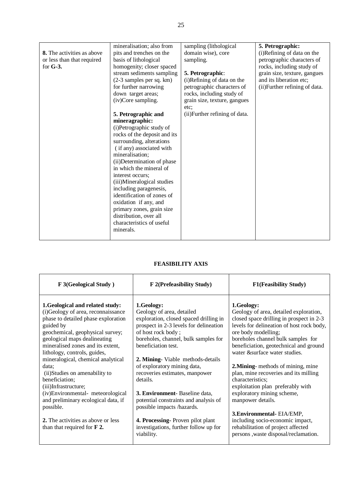|                                   | mineralisation; also from    | sampling (lithological         | 5. Petrographic:               |
|-----------------------------------|------------------------------|--------------------------------|--------------------------------|
| <b>8.</b> The activities as above | pits and trenches on the     | domain wise), core             | (i)Refining of data on the     |
| or less than that required        | basis of lithological        | sampling.                      | petrographic characters of     |
| for $G-3$ .                       | homogenity; closer spaced    |                                | rocks, including study of      |
|                                   | stream sediments sampling    | 5. Petrographic:               | grain size, texture, gangues   |
|                                   | (2-3 samples per sq. km)     | (i)Refining of data on the     | and its liberation etc;        |
|                                   | for further narrowing        | petrographic characters of     | (ii) Further refining of data. |
|                                   | down target areas;           | rocks, including study of      |                                |
|                                   | (iv)Core sampling.           | grain size, texture, gangues   |                                |
|                                   |                              | etc:                           |                                |
|                                   | 5. Petrographic and          | (ii) Further refining of data. |                                |
|                                   | mineragraphic:               |                                |                                |
|                                   | (i)Petrographic study of     |                                |                                |
|                                   | rocks of the deposit and its |                                |                                |
|                                   | surrounding, alterations     |                                |                                |
|                                   | (if any) associated with     |                                |                                |
|                                   | mineralisation;              |                                |                                |
|                                   | (ii) Determination of phase  |                                |                                |
|                                   | in which the mineral of      |                                |                                |
|                                   |                              |                                |                                |
|                                   | interest occurs;             |                                |                                |
|                                   | (iii)Mineralogical studies   |                                |                                |
|                                   | including paragenesis,       |                                |                                |
|                                   | identification of zones of   |                                |                                |
|                                   | oxidation if any, and        |                                |                                |
|                                   | primary zones, grain size    |                                |                                |
|                                   | distribution, over all       |                                |                                |
|                                   | characteristics of useful    |                                |                                |
|                                   | minerals.                    |                                |                                |
|                                   |                              |                                |                                |

| F 3(Geological Study)                                                                                                                                                                                                                                                                                                                                                                                                                                                                                                                                               | F 2(Prefeasibility Study)                                                                                                                                                                                                                                                                                                                                                                                                                                                                                                                   | <b>F1(Feasibility Study)</b>                                                                                                                                                                                                                                                                                                                                                                                                                                                                                                                                                                                                     |
|---------------------------------------------------------------------------------------------------------------------------------------------------------------------------------------------------------------------------------------------------------------------------------------------------------------------------------------------------------------------------------------------------------------------------------------------------------------------------------------------------------------------------------------------------------------------|---------------------------------------------------------------------------------------------------------------------------------------------------------------------------------------------------------------------------------------------------------------------------------------------------------------------------------------------------------------------------------------------------------------------------------------------------------------------------------------------------------------------------------------------|----------------------------------------------------------------------------------------------------------------------------------------------------------------------------------------------------------------------------------------------------------------------------------------------------------------------------------------------------------------------------------------------------------------------------------------------------------------------------------------------------------------------------------------------------------------------------------------------------------------------------------|
| 1. Geological and related study:<br>(i)Geology of area, reconnaissance<br>phase to detailed phase exploration<br>guided by<br>geochemical, geophysical survey;<br>geological maps dealineating<br>mineralised zones and its extent,<br>lithology, controls, guides,<br>mineralogical, chemical analytical<br>data:<br>(ii) Studies on amenability to<br>beneficiation;<br>(iii)Infrastructure;<br>(iv)Environmental- meteorological<br>and preliminary ecological data, if<br>possible.<br>2. The activities as above or less<br>than that required for $\bf{F}$ 2. | 1.Geology:<br>Geology of area, detailed<br>exploration, closed spaced drilling in<br>prospect in 2-3 levels for delineation<br>of host rock body;<br>boreholes, channel, bulk samples for<br>beneficiation test.<br>2. Mining-Viable methods-details<br>of exploratory mining data,<br>recoveries estimates, manpower<br>details.<br><b>3. Environment</b> Baseline data,<br>potential constraints and analysis of<br>possible impacts /hazards.<br>4. Processing Proven pilot plant<br>investigations, further follow up for<br>viability. | 1.Geology:<br>Geology of area, detailed exploration,<br>closed space drilling in prospect in 2-3<br>levels for delineation of host rock body,<br>ore body modelling;<br>boreholes channel bulk samples for<br>beneficiation, geotechnical and ground<br>water & surface water studies.<br>2. Mining-methods of mining, mine<br>plan, mine recoveries and its milling<br>characteristics;<br>exploitation plan preferably with<br>exploratory mining scheme,<br>manpower details.<br>3. Environmental-EIA/EMP,<br>including socio-economic impact,<br>rehabilitation of project affected<br>persons , waste disposal/reclamation. |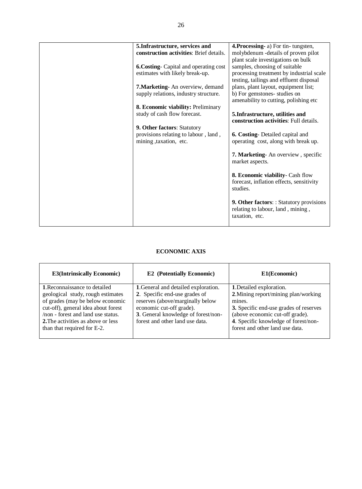|  | 5. Infrastructure, services and               | 4. Processing- a) For tin-tungsten,            |
|--|-----------------------------------------------|------------------------------------------------|
|  | construction activities: Brief details.       | molybdenum -details of proven pilot            |
|  |                                               | plant scale investigations on bulk             |
|  | <b>6. Costing-</b> Capital and operating cost | samples, choosing of suitable                  |
|  | estimates with likely break-up.               | processing treatment by industrial scale       |
|  |                                               | testing, tailings and effluent disposal        |
|  | <b>7. Marketing-</b> An overview, demand      | plans, plant layout, equipment list;           |
|  | supply relations, industry structure.         | b) For gemstones- studies on                   |
|  |                                               | amenability to cutting, polishing etc.         |
|  | 8. Economic viability: Preliminary            |                                                |
|  | study of cash flow forecast.                  | 5. Infrastructure, utilities and               |
|  |                                               | construction activities: Full details.         |
|  | 9. Other factors: Statutory                   |                                                |
|  | provisions relating to labour, land,          | 6. Costing-Detailed capital and                |
|  | mining , taxation, etc.                       | operating cost, along with break up.           |
|  |                                               |                                                |
|  |                                               | 7. Marketing-An overview, specific             |
|  |                                               | market aspects.                                |
|  |                                               |                                                |
|  |                                               | 8. Economic viability- Cash flow               |
|  |                                               | forecast, inflation effects, sensitivity       |
|  |                                               | studies.                                       |
|  |                                               |                                                |
|  |                                               | <b>9. Other factors::</b> Statutory provisions |
|  |                                               | relating to labour, land, mining,              |
|  |                                               | taxation, etc.                                 |
|  |                                               |                                                |
|  |                                               |                                                |

| <b>E3(Intrinsically Economic)</b>                                                                                                                                                                                              | <b>E2</b> (Potentially Economic)                                                                                                                                        | E1(Economic)                                                                                                                                                                                           |
|--------------------------------------------------------------------------------------------------------------------------------------------------------------------------------------------------------------------------------|-------------------------------------------------------------------------------------------------------------------------------------------------------------------------|--------------------------------------------------------------------------------------------------------------------------------------------------------------------------------------------------------|
| 1. Reconnaissance to detailed                                                                                                                                                                                                  | 1. General and detailed exploration.                                                                                                                                    | 1. Detailed exploration.                                                                                                                                                                               |
| geological study, rough estimates<br>of grades (may be below economic<br>cut-off), general idea about forest<br>/non - forest and land use status.<br><b>2.</b> The activities as above or less<br>than that required for E-2. | 2. Specific end-use grades of<br>reserves (above/marginally below<br>economic cut-off grade).<br>3. General knowledge of forest/non-<br>forest and other land use data. | 2. Mining report/mining plan/working<br>mines.<br>3. Specific end-use grades of reserves<br>(above economic cut-off grade).<br>4. Specific knowledge of forest/non-<br>forest and other land use data. |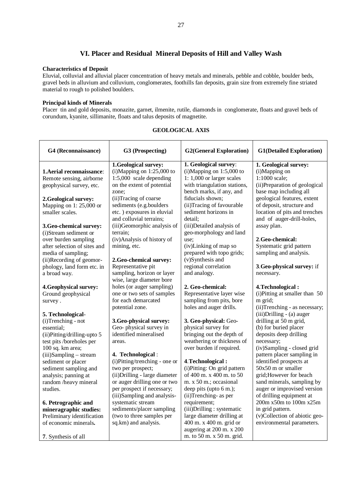# **VI. Placer and Residual Mineral Deposits of Hill and Valley Wash**

#### **Characteristics of Deposit**

Eluvial, colluvial and alluvial placer concentration of heavy metals and minerals, pebble and cobble, boulder beds, gravel beds in alluvium and colluvium, conglomerates, foothills fan deposits, grain size from extremely fine striated material to rough to polished boulders.

#### **Principal kinds of Minerals**

Placer tin and gold deposits, monazite, garnet, ilmenite, rutile, diamonds in conglomerate, floats and gravel beds of corundum, kyanite, sillimanite, floats and talus deposits of magnetite.

| G4 (Reconnaissance)                                    | G3 (Prospecting)                                     | <b>G2(General Exploration)</b>                       | <b>G1(Detailed Exploration)</b>                       |
|--------------------------------------------------------|------------------------------------------------------|------------------------------------------------------|-------------------------------------------------------|
| 1. Aerial reconnaissance:                              | 1.Geological survey:<br>$(i)$ Mapping on 1:25,000 to | 1. Geological survey:<br>$(i)$ Mapping on 1:5,000 to | 1. Geological survey:<br>(i)Mapping on                |
| Remote sensing, airborne                               | $1:5,000$ scale depending                            | 1: 1,000 or larger scales                            | 1:1000 scale;                                         |
| geophysical survey, etc.                               | on the extent of potential                           | with triangulation stations,                         | (ii) Preparation of geological                        |
|                                                        | zone;                                                | bench marks, if any, and                             | base map including all                                |
| 2. Geological survey:                                  | (ii)Tracing of coarse                                | fiducials shown;                                     | geological features, extent                           |
| Mapping on 1: $25,000$ or                              | sediments (e.g.boulders                              | (ii)Tracing of favourable                            | of deposit, structure and                             |
| smaller scales.                                        | etc.) exposures in eluvial                           | sediment horizons in                                 | location of pits and trenches                         |
|                                                        | and colluvial terrains;                              | detail;                                              | and of auger-drill-holes,                             |
| 3.Geo-chemical survey:                                 | (iii)Geomorphic analysis of                          | (iii)Detailed analysis of                            | assay plan.                                           |
| (i)Stream sediment or                                  | terrain;                                             | geo-morphology and land                              |                                                       |
| over burden sampling                                   | (iv)Analysis of history of                           | use;                                                 | 2.Geo-chemical:                                       |
| after selection of sites and                           | mining, etc.                                         | (iv)Linking of map so                                | Systematic grid pattern                               |
| media of sampling;                                     |                                                      | prepared with topo grids;                            | sampling and analysis.                                |
| (ii)Recording of geomor-<br>phology, land form etc. in | 2.Geo-chemical survey:<br>Representative pit         | (v)Synthesis and<br>regional correlation             | 3. Geo-physical survey: if                            |
| a broad way.                                           | sampling, horizon or layer                           | and analogy.                                         | necessary.                                            |
|                                                        | wise, large diameter bore                            |                                                      |                                                       |
| 4. Geophysical survey:                                 | holes (or auger sampling)                            | 2. Geo-chemical:                                     | 4. Technological:                                     |
| Ground geophysical                                     | one or two sets of samples                           | Representative layer wise                            | (i) Pitting at smaller than 50                        |
| survey.                                                | for each demarcated                                  | sampling from pits, bore                             | m grid;                                               |
|                                                        | potential zone.                                      | holes and auger drills.                              | (ii)Trenching - as necessary;                         |
| 5. Technological-                                      |                                                      |                                                      | (iii) Drilling - (a) auger                            |
| $(i)$ Trenching - not                                  | 3. Geo-physical survey:                              | 3. Geo-physical: Geo-                                | drilling at 50 m grid,                                |
| essential;                                             | Geo-physical survey in                               | physical survey for                                  | (b) for buried placer                                 |
| (ii)Pitting/drilling-upto 5                            | identified mineralised                               | bringing out the depth of                            | deposits deep drilling                                |
| test pits /boreholes per                               | areas.                                               | weathering or thickness of                           | necessary;                                            |
| 100 sq. km area;                                       |                                                      | over burden if required.                             | (iv)Sampling - closed grid                            |
| $(iii)$ Sampling – stream<br>sediment or placer        | 4. Technological:<br>(i)Pitting/trenching - one or   | 4. Technological:                                    | pattern placer sampling in<br>identified prospects at |
| sediment sampling and                                  | two per prospect;                                    | (i) Pitting: On grid pattern                         | 50x50 m or smaller                                    |
| analysis; panning at                                   | (ii) Drilling - large diameter                       | of 400 m. x 400 m. to 50                             | grid; However for beach                               |
| random /heavy mineral                                  | or auger drilling one or two                         | m. x 50 m.; occasional                               | sand minerals, sampling by                            |
| studies.                                               | per prospect if necessary;                           | deep pits (upto 6 m.);                               | auger or improvised version                           |
|                                                        | (iii)Sampling and analysis-                          | (ii)Trenching- as per                                | of drilling equipment at                              |
| 6. Petrographic and                                    | systematic stream                                    | requirement;                                         | 200m x50m to 100m x25m                                |
| mineragraphic studies:                                 | sediments/placer sampling                            | (iii)Drilling: systematic                            | in grid pattern.                                      |
| Preliminary identification                             | (two to three samples per                            | large diameter drilling at                           | (v)Collection of abiotic geo-                         |
| of economic minerals.                                  | sq.km) and analysis.                                 | 400 m. x 400 m. grid or                              | environmental parameters.                             |
|                                                        |                                                      | augering at 200 m. x 200                             |                                                       |
| 7. Synthesis of all                                    |                                                      | m. to 50 m. x 50 m. grid.                            |                                                       |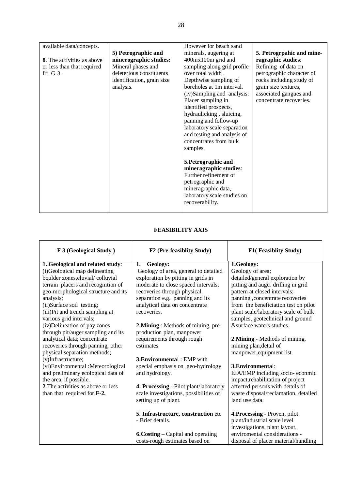| available data/concepts.          |                            | However for beach sand      |                           |
|-----------------------------------|----------------------------|-----------------------------|---------------------------|
|                                   | 5) Petrographic and        | minerals, augering at       | 5. Petrogrpahic and mine- |
| <b>8.</b> The activities as above | minerographic studies:     | 400mx100m grid and          | ragraphic studies:        |
| or less than that required        | Mineral phases and         | sampling along grid profile | Refining of data on       |
| for $G-3$ .                       | deleterious constituents   | over total width.           | petrographic character of |
|                                   | identification, grain size | Depthwise sampling of       | rocks including study of  |
|                                   | analysis.                  | boreholes at 1m interval.   | grain size textures,      |
|                                   |                            | (iv)Sampling and analysis:  | associated gangues and    |
|                                   |                            | Placer sampling in          | concentrate recoveries.   |
|                                   |                            | identified prospects,       |                           |
|                                   |                            | hydraulicking, sluicing,    |                           |
|                                   |                            | panning and follow-up       |                           |
|                                   |                            | laboratory scale separation |                           |
|                                   |                            | and testing and analysis of |                           |
|                                   |                            | concentrates from bulk      |                           |
|                                   |                            | samples.                    |                           |
|                                   |                            |                             |                           |
|                                   |                            | 5. Petrographic and         |                           |
|                                   |                            | mineragraphic studies:      |                           |
|                                   |                            | Further refinement of       |                           |
|                                   |                            | petrographic and            |                           |
|                                   |                            | mineragraphic data,         |                           |
|                                   |                            | laboratory scale studies on |                           |
|                                   |                            | recoverability.             |                           |
|                                   |                            |                             |                           |

| F 3 (Geological Study)              | F2 (Pre-feasiblity Study)                 | F1(Feasiblity Study)                 |
|-------------------------------------|-------------------------------------------|--------------------------------------|
| 1. Geological and related study:    | Geology:<br>1.                            | 1.Geology:                           |
| (i)Geological map delineating       | Geology of area, general to detailed      | Geology of area;                     |
| boulder zones, eluvial/colluvial    | exploration by pitting in grids in        | detailed/general exploration by      |
| terrain placers and recognition of  | moderate to close spaced intervals;       | pitting and auger drilling in grid   |
| geo-morphological structure and its | recoveries through physical               | pattern at closed intervals;         |
| analysis;                           | separation e.g. panning and its           | panning , concentrate recoveries     |
| (ii)Surface soil testing;           | analytical data on concentrate            | from the beneficiation test on pilot |
| (iii)Pit and trench sampling at     | recoveries.                               | plant scale/laboratory scale of bulk |
| various grid intervals;             |                                           | samples, geotechnical and ground     |
| (iv)Delineation of pay zones        | 2. Mining: Methods of mining, pre-        | &surface waters studies.             |
| through pit/auger sampling and its  | production plan, manpower                 |                                      |
| analytical data; concentrate        | requirements through rough                | 2. Mining - Methods of mining,       |
| recoveries through panning, other   | estimates.                                | mining plan, detail of               |
| physical separation methods;        |                                           | manpower, equipment list.            |
| (v)Infrastructure;                  | <b>3. Environmental: EMP with</b>         |                                      |
| (vi)Environmental :Meteorological   | special emphasis on geo-hydrology         | 3. Environmental:                    |
| and preliminary ecological data of  | and hydrology.                            | EIA/EMP including socio-econmic      |
| the area, if possible.              |                                           | impact, rehabilitation of project    |
| 2. The activities as above or less  | 4. Processing - Pilot plant/laboratory    | affected persons with details of     |
| than that required for F-2.         | scale investigations, possibilities of    | waste disposal/reclamation, detailed |
|                                     | setting up of plant.                      | land use data.                       |
|                                     | 5. Infrastructure, construction etc       | 4. Processing - Proven, pilot        |
|                                     | - Brief details.                          | plant/industrial scale level         |
|                                     |                                           | investigations, plant layout,        |
|                                     | <b>6. Costing</b> – Capital and operating | enviromental considerations -        |
|                                     | costs-rough estimates based on            | disposal of placer material/handling |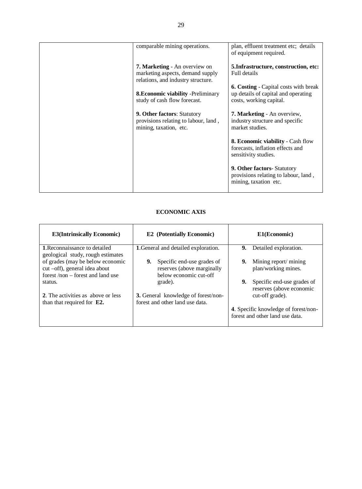| comparable mining operations.                                                                                  | plan, effluent treatment etc; details<br>of equipment required.                                                |
|----------------------------------------------------------------------------------------------------------------|----------------------------------------------------------------------------------------------------------------|
| <b>7. Marketing - An overview on</b><br>marketing aspects, demand supply<br>relations, and industry structure. | 5. Infrastructure, construction, etc:<br>Full details                                                          |
| <b>8. Economic viability - Preliminary</b><br>study of cash flow forecast.                                     | <b>6. Costing</b> - Capital costs with break<br>up details of capital and operating<br>costs, working capital. |
| <b>9. Other factors: Statutory</b><br>provisions relating to labour, land,<br>mining, taxation, etc.           | <b>7. Marketing</b> - An overview,<br>industry structure and specific<br>market studies.                       |
|                                                                                                                | <b>8. Economic viability - Cash flow</b><br>forecasts, inflation effects and<br>sensitivity studies.           |
|                                                                                                                | 9. Other factors- Statutory<br>provisions relating to labour, land,<br>mining, taxation etc.                   |

| <b>E3(Intrinsically Economic)</b>                                                                        | <b>E2</b> (Potentially Economic)                                                         | E1(Economic)                                                            |
|----------------------------------------------------------------------------------------------------------|------------------------------------------------------------------------------------------|-------------------------------------------------------------------------|
| <b>1. Reconnaissance to detailed</b><br>geological study, rough estimates                                | 1. General and detailed exploration.                                                     | 9.<br>Detailed exploration.                                             |
| of grades (may be below economic<br>cut -off), general idea about<br>forest $/non$ – forest and land use | Specific end-use grades of<br>9.<br>reserves (above marginally<br>below economic cut-off | Mining report/ mining<br>9.<br>plan/working mines.                      |
| status.                                                                                                  | grade).                                                                                  | 9.<br>Specific end-use grades of<br>reserves (above economic            |
| 2. The activities as above or less<br>than that required for $E2$ .                                      | <b>3.</b> General knowledge of forest/non-<br>forest and other land use data.            | cut-off grade).                                                         |
|                                                                                                          |                                                                                          | 4. Specific knowledge of forest/non-<br>forest and other land use data. |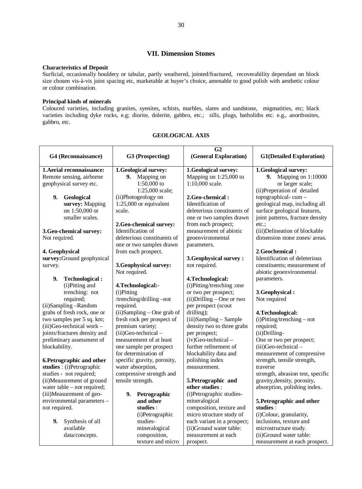## **VII. Dimension Stones**

#### **Characteristics of Deposit**

Surficial, occasionally bouldery or tabular, partly weathered, jointed/fractured, recoverability dependant on block size chosen vis-à-vis joint spacing etc, marketable at buyer's choice, amenable to good polish with aesthetic colour or colour combination.

### **Principal kinds of minerals**

Coloured varieties, including granites, syenites, schists, marbles, slates and sandstone, migmatities, etc; black varieties including dyke rocks, e.g; diorite, dolerite, gabbro, etc.; sills, plugs, batholiths etc. e.g., anorthosites, gabbro, etc.

|                               |                             | G <sub>2</sub>               |                                   |
|-------------------------------|-----------------------------|------------------------------|-----------------------------------|
| G4 (Reconnaissance)           | G3 (Prospecting)            | (General Exploration)        | <b>G1(Detailed Exploration)</b>   |
|                               |                             |                              |                                   |
| 1. Aerial reconnaissance:     | 1.Geological survey:        | 1.Geological survey:         | 1.Geological survey:              |
| Remote sensing, airborne      | 9. Mapping on               | Mapping on 1:25,000 to       | <b>9.</b> Mapping on 1:10000      |
| geophysical survey etc.       | $1:50,000$ to               | 1:10,000 scale.              | or larger scale;                  |
|                               | 1:25,000 scale;             |                              | (ii) Preperation of detailed      |
| 9.<br>Geological              | (ii)Photogeology on         | 2. Geo-chemical:             | topographical- $cum -$            |
| survey: Mapping               | $1:25,000$ or equivalent    | Identification of            | geological map, including all     |
| on 1:50,000 or                | scale.                      | deleterious constituents of  | surface geological features,      |
| smaller scales.               |                             | one or two samples drawn     | joint patterns, fracture density  |
|                               | 2.Geo-chemical survey:      | from each prospect;          | etc.:                             |
| 3.Geo-chemical survey:        | Identification of           | measurement of abiotic       | (iii)Delineation of blockable     |
| Not required.                 | deleterious constituents of | geoenvironmental             | dimension stone zones/ areas.     |
|                               | one or two samples drawn    | parameters.                  |                                   |
| 4. Geophysical                | from each prospect.         |                              | 2. Geochemical:                   |
| survey: Ground geophysical    |                             | 3. Geophysical survey:       | Identification of deleterious     |
| survey.                       | 3. Geophysical survey:      | not required.                | constituents; measurement of      |
|                               | Not required.               |                              | abiotic geoenvironmental          |
| 9.<br><b>Technological:</b>   |                             | 4. Technological:            | parameters.                       |
| (i)Pitting and                | 4.Technological:-           | (i)Pitting/trenching :one    |                                   |
| trenching: not                | (i)Pitting                  | or two per prospect;         | 3. Geophysical:                   |
| required;                     | /trenching/drilling -not    | $(ii)$ Drilling – One or two | Not required                      |
| (ii)Sampling-Random           | required.                   | per prospect (scout          |                                   |
| grabs of fresh rock, one or   | (ii)Sampling - One grab of  | drilling);                   | 4. Technological:                 |
| two samples per 5 sq. km;     | fresh rock per prospect of  | (iii)Sampling - Sample       | $(i)$ Pitting/trenching – not     |
| $(iii)$ Geo-technical work -  | premium variety;            | density two to three grabs   | required;                         |
| joints/fractures density and  | $(iii)$ Geo-technical –     | per prospect;                | (ii) Drilling-                    |
| preliminary assessment of     | measurement of at least     | $(iv)$ Geo-technical –       | One or two per prospect;          |
| blockability.                 | one sample per prospect     | further refinement of        | (iii)Geo-technical -              |
|                               | for determination of        | blockability data and        | measurement of compressive        |
| 6. Petrographic and other     | specific gravity, porosity, | polishing index              | strength, tensile strength,       |
| studies : (i) Petrographic    | water absorption,           | measurement.                 | traverse                          |
| studies - not required;       | compressive strength and    |                              | strength, abrasion test, specific |
| (ii)Meausrement of ground     | tensile strength.           | 5. Petrographic and          | gravity, density, porosity,       |
| water table $-$ not required; |                             | other studies :              | absorption, polishing index.      |
| (iii)Measurement of geo-      | 9.<br>Petrographic          | (i)Petrographic studies-     |                                   |
| environmental parameters -    | and other                   | mineralogical                | 5. Petrographic and other         |
| not required.                 | studies :                   | composition, texture and     | studies :                         |
|                               | (i)Petrographic             | micro structure study of     | (i)Colour, granularity,           |
| 9.<br>Synthesis of all        | studies-                    | each variant in a prospect;  | inclusions, texture and           |
| available                     | mineralogical               | (ii)Ground water table:      | microstructure study.             |
| data/concepts.                | composition,                | measurement at each          | (ii)Ground water table:           |
|                               | texture and micro           | prospect.                    | measurement at each prospect.     |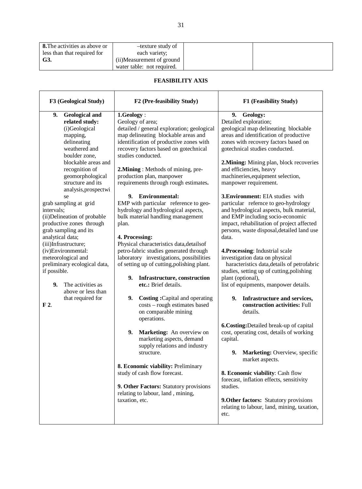| <b>8.</b> The activities as above or | -texture study of          |
|--------------------------------------|----------------------------|
| less than that required for          | each variety;              |
| G3.                                  | (ii)Measurement of ground  |
|                                      | water table: not required. |

 $\mathbf{r}$ 

| F3 (Geological Study)                                                                                                                                                                                                                                                                                                                                                                                                                                                                                                                                                                         | F2 (Pre-feasibility Study)                                                                                                                                                                                                                                                                                                                                                                                                                                                                                                                                                                                                                                                                                                                                                                                                                                                                                                                                                                                                                                                                                                                                              | F1 (Feasibility Study)                                                                                                                                                                                                                                                                                                                                                                                                                                                                                                                                                                                                                                                                                                                                                                                                                                                                                                                                                                                                                                                                                                                                                                                                                                                                                |
|-----------------------------------------------------------------------------------------------------------------------------------------------------------------------------------------------------------------------------------------------------------------------------------------------------------------------------------------------------------------------------------------------------------------------------------------------------------------------------------------------------------------------------------------------------------------------------------------------|-------------------------------------------------------------------------------------------------------------------------------------------------------------------------------------------------------------------------------------------------------------------------------------------------------------------------------------------------------------------------------------------------------------------------------------------------------------------------------------------------------------------------------------------------------------------------------------------------------------------------------------------------------------------------------------------------------------------------------------------------------------------------------------------------------------------------------------------------------------------------------------------------------------------------------------------------------------------------------------------------------------------------------------------------------------------------------------------------------------------------------------------------------------------------|-------------------------------------------------------------------------------------------------------------------------------------------------------------------------------------------------------------------------------------------------------------------------------------------------------------------------------------------------------------------------------------------------------------------------------------------------------------------------------------------------------------------------------------------------------------------------------------------------------------------------------------------------------------------------------------------------------------------------------------------------------------------------------------------------------------------------------------------------------------------------------------------------------------------------------------------------------------------------------------------------------------------------------------------------------------------------------------------------------------------------------------------------------------------------------------------------------------------------------------------------------------------------------------------------------|
| <b>Geological and</b><br>9.<br>related study:<br>(i)Geological<br>mapping,<br>delineating<br>weathered and<br>boulder zone,<br>blockable areas and<br>recognition of<br>geomorphological<br>structure and its<br>analysis, prospectwi<br>se<br>grab sampling at grid<br>intervals;<br>(ii) Delineation of probable<br>productive zones through<br>grab sampling and its<br>analytical data;<br>(iii)Infrastructure;<br>(iv)Environmental:<br>meteorological and<br>preliminary ecological data,<br>if possible.<br>9.<br>The activities as<br>above or less than<br>that required for<br>F 2. | 1.Geology:<br>Geology of area;<br>detailed / general exploration; geological<br>map delineating blockable areas and<br>identification of productive zones with<br>recovery factors based on gotechnical<br>studies conducted.<br>2. Mining: Methods of mining, pre-<br>production plan, manpower<br>requirements through rough estimates.<br>9. Environmental:<br>EMP with particular reference to geo-<br>hydrology and hydrological aspects,<br>bulk material handling management<br>plan.<br>4. Processing:<br>Physical characteristics data, details of<br>petro-fabric studies generated through<br>laboratory investigations, possibilities<br>of setting up of cutting, polishing plant.<br>9. Infrastructure, construction<br>etc.: Brief details.<br>9.<br><b>Costing:</b> Capital and operating<br>costs - rough estimates based<br>on comparable mining<br>operations.<br>9.<br>Marketing: An overview on<br>marketing aspects, demand<br>supply relations and industry<br>structure.<br>8. Economic viability: Preliminary<br>study of cash flow forecast.<br>9. Other Factors: Statutory provisions<br>relating to labour, land, mining,<br>taxation, etc. | <b>Geology:</b><br>9.<br>Detailed exploration;<br>geological map delineating blockable<br>areas and identification of productive<br>zones with recovery factors based on<br>gotechnical studies conducted.<br>2. Mining: Mining plan, block recoveries<br>and efficiencies, heavy<br>machineries, equipment selection,<br>manpower requirement.<br><b>3. Environment:</b> EIA studies with<br>particular refernce to geo-hydrology<br>and hydrological aspects, bulk material,<br>and EMP including socio-economic<br>impact, rehabilitation of project affected<br>persons, waste disposal, detailed land use<br>data.<br>4. Processing: Industrial scale<br>investigation data on physical<br>haracteristics data, details of petrofabric<br>studies, setting up of cutting, polishing<br>plant (optional),<br>list of equipments, manpower details.<br>9. Infrastructure and services,<br>construction activities: Full<br>details.<br>6. Costing: Detailed break-up of capital<br>cost, operating cost, details of working<br>capital.<br>9. Marketing: Overview, specific<br>market aspects.<br>8. Economic viability: Cash flow<br>forecast, inflation effects, sensitivity<br>studies.<br><b>9. Other factors:</b> Statutory provisions<br>relating to labour, land, mining, taxation,<br>etc. |